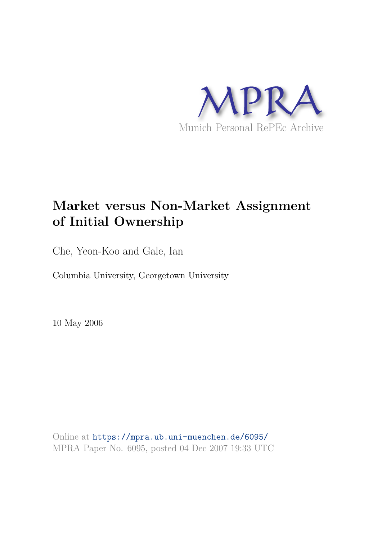

# **Market versus Non-Market Assignment of Initial Ownership**

Che, Yeon-Koo and Gale, Ian

Columbia University, Georgetown University

10 May 2006

Online at https://mpra.ub.uni-muenchen.de/6095/ MPRA Paper No. 6095, posted 04 Dec 2007 19:33 UTC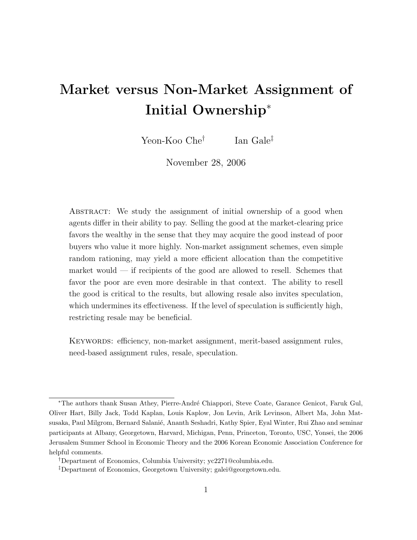# Market versus Non-Market Assignment of Initial Ownership<sup>∗</sup>

Yeon-Koo Che† Ian Gale‡

November 28, 2006

ABSTRACT: We study the assignment of initial ownership of a good when agents differ in their ability to pay. Selling the good at the market-clearing price favors the wealthy in the sense that they may acquire the good instead of poor buyers who value it more highly. Non-market assignment schemes, even simple random rationing, may yield a more efficient allocation than the competitive market would  $\frac{1}{\sqrt{1-\frac{v^2}{c^2}}}$  if recipients of the good are allowed to resell. Schemes that favor the poor are even more desirable in that context. The ability to resell the good is critical to the results, but allowing resale also invites speculation, which undermines its effectiveness. If the level of speculation is sufficiently high, restricting resale may be beneficial.

KEYWORDS: efficiency, non-market assignment, merit-based assignment rules, need-based assignment rules, resale, speculation.

<sup>\*</sup>The authors thank Susan Athey, Pierre-André Chiappori, Steve Coate, Garance Genicot, Faruk Gul, Oliver Hart, Billy Jack, Todd Kaplan, Louis Kaplow, Jon Levin, Arik Levinson, Albert Ma, John Matsusaka, Paul Milgrom, Bernard Salanié, Ananth Seshadri, Kathy Spier, Eyal Winter, Rui Zhao and seminar participants at Albany, Georgetown, Harvard, Michigan, Penn, Princeton, Toronto, USC, Yonsei, the 2006 Jerusalem Summer School in Economic Theory and the 2006 Korean Economic Association Conference for helpful comments.

<sup>†</sup>Department of Economics, Columbia University; yc2271@columbia.edu.

<sup>‡</sup>Department of Economics, Georgetown University; galei@georgetown.edu.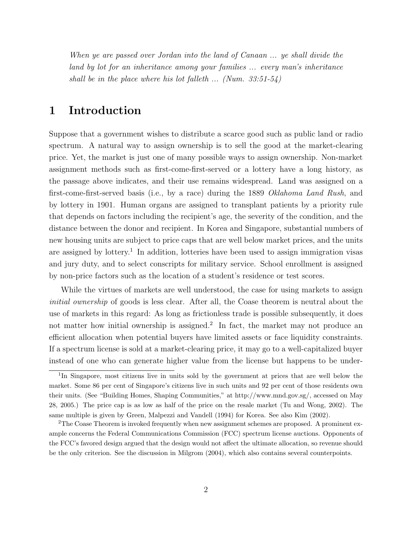When ye are passed over Jordan into the land of Canaan ... ye shall divide the land by lot for an inheritance among your families ... every man's inheritance shall be in the place where his lot falleth  $\ldots$  (Num. 33:51-54)

## 1 Introduction

Suppose that a government wishes to distribute a scarce good such as public land or radio spectrum. A natural way to assign ownership is to sell the good at the market-clearing price. Yet, the market is just one of many possible ways to assign ownership. Non-market assignment methods such as first-come-first-served or a lottery have a long history, as the passage above indicates, and their use remains widespread. Land was assigned on a first-come-first-served basis (i.e., by a race) during the 1889 Oklahoma Land Rush, and by lottery in 1901. Human organs are assigned to transplant patients by a priority rule that depends on factors including the recipient's age, the severity of the condition, and the distance between the donor and recipient. In Korea and Singapore, substantial numbers of new housing units are subject to price caps that are well below market prices, and the units are assigned by lottery.<sup>1</sup> In addition, lotteries have been used to assign immigration visas and jury duty, and to select conscripts for military service. School enrollment is assigned by non-price factors such as the location of a student's residence or test scores.

While the virtues of markets are well understood, the case for using markets to assign initial ownership of goods is less clear. After all, the Coase theorem is neutral about the use of markets in this regard: As long as frictionless trade is possible subsequently, it does not matter how initial ownership is assigned.<sup>2</sup> In fact, the market may not produce an efficient allocation when potential buyers have limited assets or face liquidity constraints. If a spectrum license is sold at a market-clearing price, it may go to a well-capitalized buyer instead of one who can generate higher value from the license but happens to be under-

<sup>&</sup>lt;sup>1</sup>In Singapore, most citizens live in units sold by the government at prices that are well below the market. Some 86 per cent of Singapore's citizens live in such units and 92 per cent of those residents own their units. (See "Building Homes, Shaping Communities," at http://www.mnd.gov.sg/, accessed on May 28, 2005.) The price cap is as low as half of the price on the resale market (Tu and Wong, 2002). The same multiple is given by Green, Malpezzi and Vandell (1994) for Korea. See also Kim (2002).

<sup>&</sup>lt;sup>2</sup>The Coase Theorem is invoked frequently when new assignment schemes are proposed. A prominent example concerns the Federal Communications Commission (FCC) spectrum license auctions. Opponents of the FCC's favored design argued that the design would not affect the ultimate allocation, so revenue should be the only criterion. See the discussion in Milgrom (2004), which also contains several counterpoints.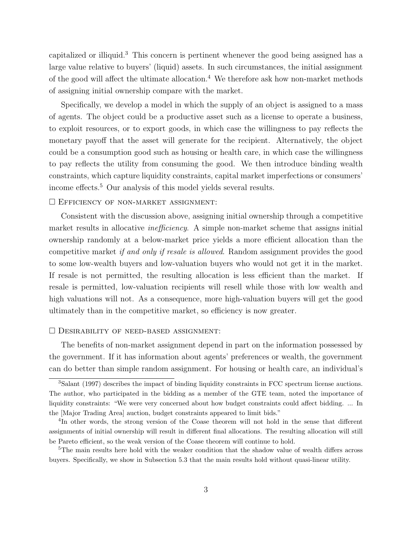capitalized or illiquid.<sup>3</sup> This concern is pertinent whenever the good being assigned has a large value relative to buyers' (liquid) assets. In such circumstances, the initial assignment of the good will affect the ultimate allocation.<sup>4</sup> We therefore ask how non-market methods of assigning initial ownership compare with the market.

Specifically, we develop a model in which the supply of an object is assigned to a mass of agents. The object could be a productive asset such as a license to operate a business, to exploit resources, or to export goods, in which case the willingness to pay reflects the monetary payoff that the asset will generate for the recipient. Alternatively, the object could be a consumption good such as housing or health care, in which case the willingness to pay reflects the utility from consuming the good. We then introduce binding wealth constraints, which capture liquidity constraints, capital market imperfections or consumers' income effects.<sup>5</sup> Our analysis of this model yields several results.

#### $\square$  EFFICIENCY OF NON-MARKET ASSIGNMENT:

Consistent with the discussion above, assigning initial ownership through a competitive market results in allocative *inefficiency*. A simple non-market scheme that assigns initial ownership randomly at a below-market price yields a more efficient allocation than the competitive market if and only if resale is allowed. Random assignment provides the good to some low-wealth buyers and low-valuation buyers who would not get it in the market. If resale is not permitted, the resulting allocation is less efficient than the market. If resale is permitted, low-valuation recipients will resell while those with low wealth and high valuations will not. As a consequence, more high-valuation buyers will get the good ultimately than in the competitive market, so efficiency is now greater.

#### $\Box$  DESIRABILITY OF NEED-BASED ASSIGNMENT:

The benefits of non-market assignment depend in part on the information possessed by the government. If it has information about agents' preferences or wealth, the government can do better than simple random assignment. For housing or health care, an individual's

<sup>3</sup>Salant (1997) describes the impact of binding liquidity constraints in FCC spectrum license auctions. The author, who participated in the bidding as a member of the GTE team, noted the importance of liquidity constraints: "We were very concerned about how budget constraints could affect bidding. ... In the [Major Trading Area] auction, budget constraints appeared to limit bids."

<sup>&</sup>lt;sup>4</sup>In other words, the strong version of the Coase theorem will not hold in the sense that different assignments of initial ownership will result in different final allocations. The resulting allocation will still be Pareto efficient, so the weak version of the Coase theorem will continue to hold.

<sup>&</sup>lt;sup>5</sup>The main results here hold with the weaker condition that the shadow value of wealth differs across buyers. Specifically, we show in Subsection 5.3 that the main results hold without quasi-linear utility.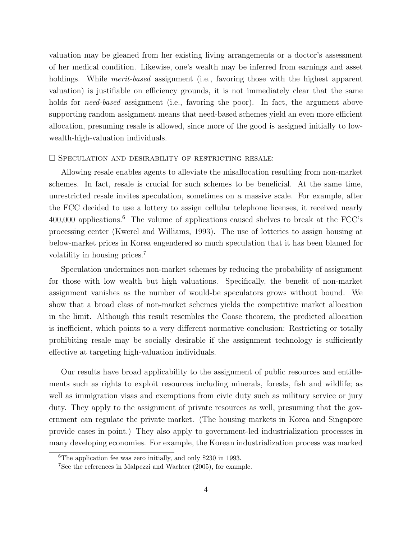valuation may be gleaned from her existing living arrangements or a doctor's assessment of her medical condition. Likewise, one's wealth may be inferred from earnings and asset holdings. While *merit-based* assignment (i.e., favoring those with the highest apparent valuation) is justifiable on efficiency grounds, it is not immediately clear that the same holds for *need-based* assignment (i.e., favoring the poor). In fact, the argument above supporting random assignment means that need-based schemes yield an even more efficient allocation, presuming resale is allowed, since more of the good is assigned initially to lowwealth-high-valuation individuals.

#### $\square$  Speculation and desirability of restricting resale:

Allowing resale enables agents to alleviate the misallocation resulting from non-market schemes. In fact, resale is crucial for such schemes to be beneficial. At the same time, unrestricted resale invites speculation, sometimes on a massive scale. For example, after the FCC decided to use a lottery to assign cellular telephone licenses, it received nearly 400,000 applications.<sup>6</sup> The volume of applications caused shelves to break at the FCC's processing center (Kwerel and Williams, 1993). The use of lotteries to assign housing at below-market prices in Korea engendered so much speculation that it has been blamed for volatility in housing prices.<sup>7</sup>

Speculation undermines non-market schemes by reducing the probability of assignment for those with low wealth but high valuations. Specifically, the benefit of non-market assignment vanishes as the number of would-be speculators grows without bound. We show that a broad class of non-market schemes yields the competitive market allocation in the limit. Although this result resembles the Coase theorem, the predicted allocation is inefficient, which points to a very different normative conclusion: Restricting or totally prohibiting resale may be socially desirable if the assignment technology is sufficiently effective at targeting high-valuation individuals.

Our results have broad applicability to the assignment of public resources and entitlements such as rights to exploit resources including minerals, forests, fish and wildlife; as well as immigration visas and exemptions from civic duty such as military service or jury duty. They apply to the assignment of private resources as well, presuming that the government can regulate the private market. (The housing markets in Korea and Singapore provide cases in point.) They also apply to government-led industrialization processes in many developing economies. For example, the Korean industrialization process was marked

<sup>6</sup>The application fee was zero initially, and only \$230 in 1993.

<sup>7</sup>See the references in Malpezzi and Wachter (2005), for example.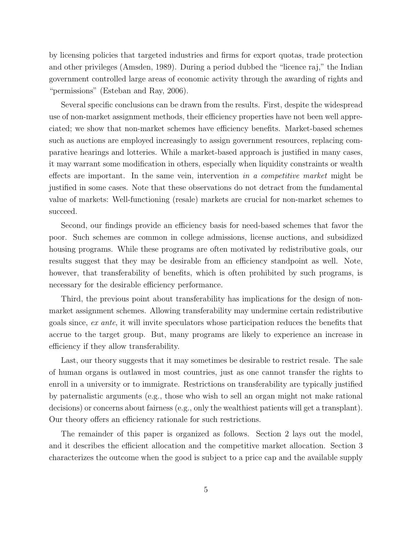by licensing policies that targeted industries and firms for export quotas, trade protection and other privileges (Amsden, 1989). During a period dubbed the "licence raj," the Indian government controlled large areas of economic activity through the awarding of rights and "permissions" (Esteban and Ray, 2006).

Several specific conclusions can be drawn from the results. First, despite the widespread use of non-market assignment methods, their efficiency properties have not been well appreciated; we show that non-market schemes have efficiency benefits. Market-based schemes such as auctions are employed increasingly to assign government resources, replacing comparative hearings and lotteries. While a market-based approach is justified in many cases, it may warrant some modification in others, especially when liquidity constraints or wealth effects are important. In the same vein, intervention in a competitive market might be justified in some cases. Note that these observations do not detract from the fundamental value of markets: Well-functioning (resale) markets are crucial for non-market schemes to succeed.

Second, our findings provide an efficiency basis for need-based schemes that favor the poor. Such schemes are common in college admissions, license auctions, and subsidized housing programs. While these programs are often motivated by redistributive goals, our results suggest that they may be desirable from an efficiency standpoint as well. Note, however, that transferability of benefits, which is often prohibited by such programs, is necessary for the desirable efficiency performance.

Third, the previous point about transferability has implications for the design of nonmarket assignment schemes. Allowing transferability may undermine certain redistributive goals since, ex ante, it will invite speculators whose participation reduces the benefits that accrue to the target group. But, many programs are likely to experience an increase in efficiency if they allow transferability.

Last, our theory suggests that it may sometimes be desirable to restrict resale. The sale of human organs is outlawed in most countries, just as one cannot transfer the rights to enroll in a university or to immigrate. Restrictions on transferability are typically justified by paternalistic arguments (e.g., those who wish to sell an organ might not make rational decisions) or concerns about fairness (e.g., only the wealthiest patients will get a transplant). Our theory offers an efficiency rationale for such restrictions.

The remainder of this paper is organized as follows. Section 2 lays out the model, and it describes the efficient allocation and the competitive market allocation. Section 3 characterizes the outcome when the good is subject to a price cap and the available supply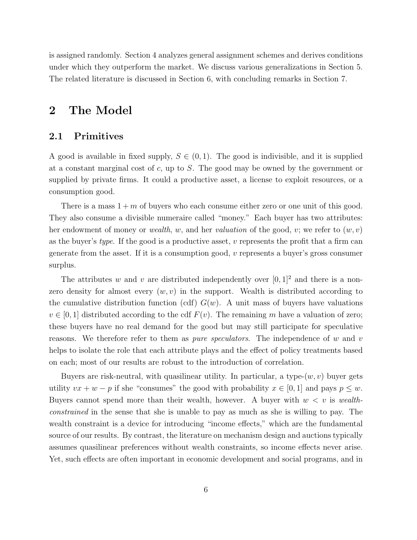is assigned randomly. Section 4 analyzes general assignment schemes and derives conditions under which they outperform the market. We discuss various generalizations in Section 5. The related literature is discussed in Section 6, with concluding remarks in Section 7.

## 2 The Model

#### 2.1 Primitives

A good is available in fixed supply,  $S \in (0,1)$ . The good is indivisible, and it is supplied at a constant marginal cost of c, up to S. The good may be owned by the government or supplied by private firms. It could a productive asset, a license to exploit resources, or a consumption good.

There is a mass  $1 + m$  of buyers who each consume either zero or one unit of this good. They also consume a divisible numeraire called "money." Each buyer has two attributes: her endowment of money or *wealth*, w, and her valuation of the good, v; we refer to  $(w, v)$ as the buyer's type. If the good is a productive asset,  $v$  represents the profit that a firm can generate from the asset. If it is a consumption good,  $v$  represents a buyer's gross consumer surplus.

The attributes w and v are distributed independently over  $[0, 1]^2$  and there is a nonzero density for almost every  $(w, v)$  in the support. Wealth is distributed according to the cumulative distribution function (cdf)  $G(w)$ . A unit mass of buyers have valuations  $v \in [0, 1]$  distributed according to the cdf  $F(v)$ . The remaining m have a valuation of zero; these buyers have no real demand for the good but may still participate for speculative reasons. We therefore refer to them as *pure speculators*. The independence of w and v helps to isolate the role that each attribute plays and the effect of policy treatments based on each; most of our results are robust to the introduction of correlation.

Buyers are risk-neutral, with quasilinear utility. In particular, a type- $(w, v)$  buyer gets utility  $vx + w - p$  if she "consumes" the good with probability  $x \in [0, 1]$  and pays  $p \leq w$ . Buyers cannot spend more than their wealth, however. A buyer with  $w < v$  is wealthconstrained in the sense that she is unable to pay as much as she is willing to pay. The wealth constraint is a device for introducing "income effects," which are the fundamental source of our results. By contrast, the literature on mechanism design and auctions typically assumes quasilinear preferences without wealth constraints, so income effects never arise. Yet, such effects are often important in economic development and social programs, and in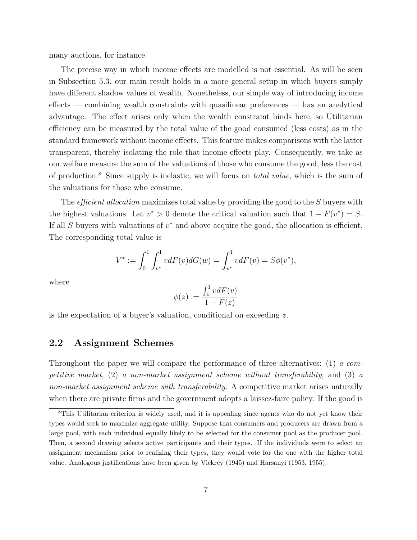many auctions, for instance.

The precise way in which income effects are modelled is not essential. As will be seen in Subsection 5.3, our main result holds in a more general setup in which buyers simply have different shadow values of wealth. Nonetheless, our simple way of introducing income effects — combining wealth constraints with quasilinear preferences — has an analytical advantage. The effect arises only when the wealth constraint binds here, so Utilitarian efficiency can be measured by the total value of the good consumed (less costs) as in the standard framework without income effects. This feature makes comparisons with the latter transparent, thereby isolating the role that income effects play. Consequently, we take as our welfare measure the sum of the valuations of those who consume the good, less the cost of production.<sup>8</sup> Since supply is inelastic, we will focus on *total value*, which is the sum of the valuations for those who consume.

The *efficient allocation* maximizes total value by providing the good to the S buyers with the highest valuations. Let  $v^* > 0$  denote the critical valuation such that  $1 - F(v^*) = S$ . If all  $S$  buyers with valuations of  $v^*$  and above acquire the good, the allocation is efficient. The corresponding total value is

$$
V^* := \int_0^1 \int_{v^*}^1 v dF(v) dG(w) = \int_{v^*}^1 v dF(v) = S\phi(v^*),
$$

where

$$
\phi(z) := \frac{\int_z^1 v dF(v)}{1 - F(z)}
$$

is the expectation of a buyer's valuation, conditional on exceeding z.

#### 2.2 Assignment Schemes

Throughout the paper we will compare the performance of three alternatives: (1) a competitive market, (2) a non-market assignment scheme without transferability, and (3) a non-market assignment scheme with transferability. A competitive market arises naturally when there are private firms and the government adopts a laissez-faire policy. If the good is

<sup>8</sup>This Utilitarian criterion is widely used, and it is appealing since agents who do not yet know their types would seek to maximize aggregate utility. Suppose that consumers and producers are drawn from a large pool, with each individual equally likely to be selected for the consumer pool as the producer pool. Then, a second drawing selects active participants and their types. If the individuals were to select an assignment mechanism prior to realizing their types, they would vote for the one with the higher total value. Analogous justifications have been given by Vickrey (1945) and Harsanyi (1953, 1955).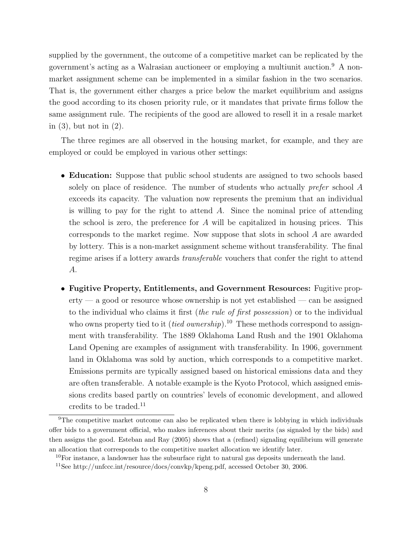supplied by the government, the outcome of a competitive market can be replicated by the government's acting as a Walrasian auctioneer or employing a multiunit auction.<sup>9</sup> A nonmarket assignment scheme can be implemented in a similar fashion in the two scenarios. That is, the government either charges a price below the market equilibrium and assigns the good according to its chosen priority rule, or it mandates that private firms follow the same assignment rule. The recipients of the good are allowed to resell it in a resale market in (3), but not in (2).

The three regimes are all observed in the housing market, for example, and they are employed or could be employed in various other settings:

- Education: Suppose that public school students are assigned to two schools based solely on place of residence. The number of students who actually *prefer* school A exceeds its capacity. The valuation now represents the premium that an individual is willing to pay for the right to attend  $A$ . Since the nominal price of attending the school is zero, the preference for  $A$  will be capitalized in housing prices. This corresponds to the market regime. Now suppose that slots in school A are awarded by lottery. This is a non-market assignment scheme without transferability. The final regime arises if a lottery awards transferable vouchers that confer the right to attend A.
- Fugitive Property, Entitlements, and Government Resources: Fugitive prop- $\text{erty} \rightarrow$  a good or resource whose ownership is not yet established  $\rightarrow$  can be assigned to the individual who claims it first (the rule of first possession) or to the individual who owns property tied to it (*tied ownership*).<sup>10</sup> These methods correspond to assignment with transferability. The 1889 Oklahoma Land Rush and the 1901 Oklahoma Land Opening are examples of assignment with transferability. In 1906, government land in Oklahoma was sold by auction, which corresponds to a competitive market. Emissions permits are typically assigned based on historical emissions data and they are often transferable. A notable example is the Kyoto Protocol, which assigned emissions credits based partly on countries' levels of economic development, and allowed credits to be traded.<sup>11</sup>

<sup>&</sup>lt;sup>9</sup>The competitive market outcome can also be replicated when there is lobbying in which individuals offer bids to a government official, who makes inferences about their merits (as signaled by the bids) and then assigns the good. Esteban and Ray (2005) shows that a (refined) signaling equilibrium will generate an allocation that corresponds to the competitive market allocation we identify later.

 $10$ For instance, a landowner has the subsurface right to natural gas deposits underneath the land.

<sup>11</sup>See http://unfccc.int/resource/docs/convkp/kpeng.pdf, accessed October 30, 2006.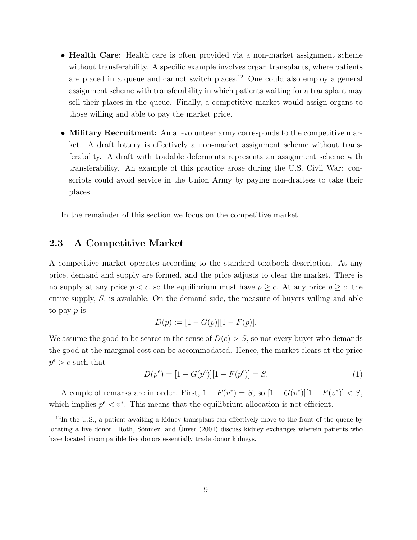- Health Care: Health care is often provided via a non-market assignment scheme without transferability. A specific example involves organ transplants, where patients are placed in a queue and cannot switch places.<sup>12</sup> One could also employ a general assignment scheme with transferability in which patients waiting for a transplant may sell their places in the queue. Finally, a competitive market would assign organs to those willing and able to pay the market price.
- Military Recruitment: An all-volunteer army corresponds to the competitive market. A draft lottery is effectively a non-market assignment scheme without transferability. A draft with tradable deferments represents an assignment scheme with transferability. An example of this practice arose during the U.S. Civil War: conscripts could avoid service in the Union Army by paying non-draftees to take their places.

In the remainder of this section we focus on the competitive market.

#### 2.3 A Competitive Market

A competitive market operates according to the standard textbook description. At any price, demand and supply are formed, and the price adjusts to clear the market. There is no supply at any price  $p < c$ , so the equilibrium must have  $p \geq c$ . At any price  $p \geq c$ , the entire supply, S, is available. On the demand side, the measure of buyers willing and able to pay p is

$$
D(p) := [1 - G(p)][1 - F(p)].
$$

We assume the good to be scarce in the sense of  $D(c) > S$ , so not every buyer who demands the good at the marginal cost can be accommodated. Hence, the market clears at the price  $p^e > c$  such that

$$
D(p^{e}) = [1 - G(p^{e})][1 - F(p^{e})] = S.
$$
\n(1)

A couple of remarks are in order. First,  $1 - F(v^*) = S$ , so  $[1 - G(v^*)][1 - F(v^*)] < S$ , which implies  $p^e \leq v^*$ . This means that the equilibrium allocation is not efficient.

<sup>&</sup>lt;sup>12</sup>In the U.S., a patient awaiting a kidney transplant can effectively move to the front of the queue by locating a live donor. Roth, Sönmez, and Unver (2004) discuss kidney exchanges wherein patients who have located incompatible live donors essentially trade donor kidneys.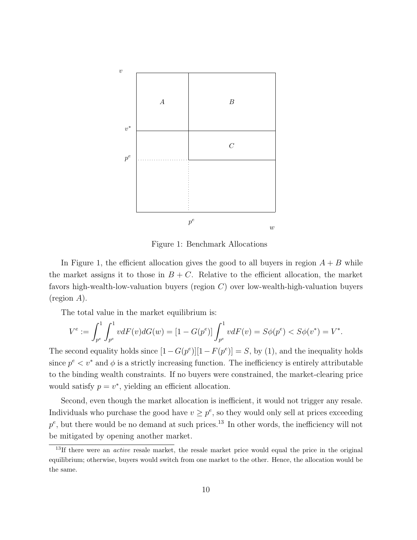

Figure 1: Benchmark Allocations

In Figure 1, the efficient allocation gives the good to all buyers in region  $A + B$  while the market assigns it to those in  $B + C$ . Relative to the efficient allocation, the market favors high-wealth-low-valuation buyers (region C) over low-wealth-high-valuation buyers (region A).

The total value in the market equilibrium is:

$$
V^{e} := \int_{p^{e}}^{1} \int_{p^{e}}^{1} v dF(v) dG(w) = [1 - G(p^{e})] \int_{p^{e}}^{1} v dF(v) = S\phi(p^{e}) < S\phi(v^{*}) = V^{*}.
$$

The second equality holds since  $[1 - G(p^e)][1 - F(p^e)] = S$ , by (1), and the inequality holds since  $p^e \leq v^*$  and  $\phi$  is a strictly increasing function. The inefficiency is entirely attributable to the binding wealth constraints. If no buyers were constrained, the market-clearing price would satisfy  $p = v^*$ , yielding an efficient allocation.

Second, even though the market allocation is inefficient, it would not trigger any resale. Individuals who purchase the good have  $v \geq p^e$ , so they would only sell at prices exceeding  $p^e$ , but there would be no demand at such prices.<sup>13</sup> In other words, the inefficiency will not be mitigated by opening another market.

 $13$ If there were an *active* resale market, the resale market price would equal the price in the original equilibrium; otherwise, buyers would switch from one market to the other. Hence, the allocation would be the same.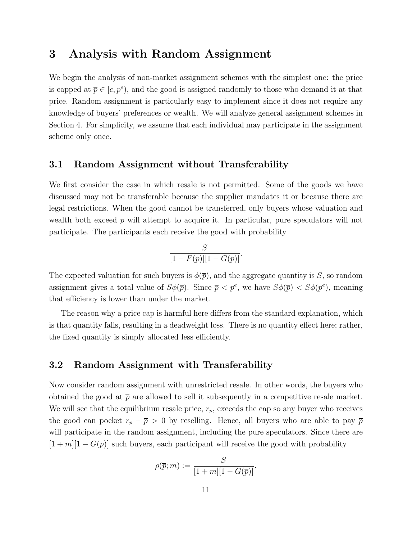## 3 Analysis with Random Assignment

We begin the analysis of non-market assignment schemes with the simplest one: the price is capped at  $\bar{p} \in [c, p^e)$ , and the good is assigned randomly to those who demand it at that price. Random assignment is particularly easy to implement since it does not require any knowledge of buyers' preferences or wealth. We will analyze general assignment schemes in Section 4. For simplicity, we assume that each individual may participate in the assignment scheme only once.

#### 3.1 Random Assignment without Transferability

We first consider the case in which resale is not permitted. Some of the goods we have discussed may not be transferable because the supplier mandates it or because there are legal restrictions. When the good cannot be transferred, only buyers whose valuation and wealth both exceed  $\bar{p}$  will attempt to acquire it. In particular, pure speculators will not participate. The participants each receive the good with probability

$$
\frac{S}{[1 - F(\overline{p})][1 - G(\overline{p})]}.
$$

The expected valuation for such buyers is  $\phi(\bar{p})$ , and the aggregate quantity is S, so random assignment gives a total value of  $S\phi(\bar{p})$ . Since  $\bar{p} < p^e$ , we have  $S\phi(\bar{p}) < S\phi(p^e)$ , meaning that efficiency is lower than under the market.

The reason why a price cap is harmful here differs from the standard explanation, which is that quantity falls, resulting in a deadweight loss. There is no quantity effect here; rather, the fixed quantity is simply allocated less efficiently.

#### 3.2 Random Assignment with Transferability

Now consider random assignment with unrestricted resale. In other words, the buyers who obtained the good at  $\bar{p}$  are allowed to sell it subsequently in a competitive resale market. We will see that the equilibrium resale price,  $r_{\bar{p}}$ , exceeds the cap so any buyer who receives the good can pocket  $r_{\bar{p}} - \bar{p} > 0$  by reselling. Hence, all buyers who are able to pay  $\bar{p}$ will participate in the random assignment, including the pure speculators. Since there are  $[1 + m][1 - G(\bar{p})]$  such buyers, each participant will receive the good with probability

$$
\rho(\overline{p};m) := \frac{S}{[1+m][1-G(\overline{p})]}.
$$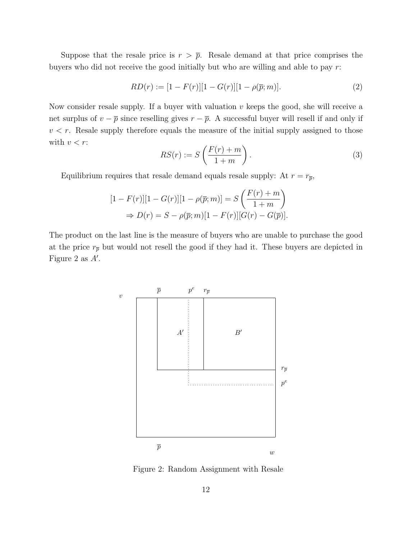Suppose that the resale price is  $r > \bar{p}$ . Resale demand at that price comprises the buyers who did not receive the good initially but who are willing and able to pay r:

$$
RD(r) := [1 - F(r)][1 - G(r)][1 - \rho(\overline{p}; m)].
$$
\n(2)

Now consider resale supply. If a buyer with valuation  $v$  keeps the good, she will receive a net surplus of  $v - \overline{p}$  since reselling gives  $r - \overline{p}$ . A successful buyer will resell if and only if  $v < r$ . Resale supply therefore equals the measure of the initial supply assigned to those with  $v < r$ :

$$
RS(r) := S\left(\frac{F(r) + m}{1 + m}\right). \tag{3}
$$

Equilibrium requires that resale demand equals resale supply: At  $r = r_{\bar{p}}$ ,

$$
[1 - F(r)][1 - G(r)][1 - \rho(\bar{p}; m)] = S\left(\frac{F(r) + m}{1 + m}\right)
$$
  
\n
$$
\Rightarrow D(r) = S - \rho(\bar{p}; m)[1 - F(r)][G(r) - G(\bar{p})].
$$

The product on the last line is the measure of buyers who are unable to purchase the good at the price  $r_{\overline{p}}$  but would not resell the good if they had it. These buyers are depicted in Figure 2 as  $A'$ .



Figure 2: Random Assignment with Resale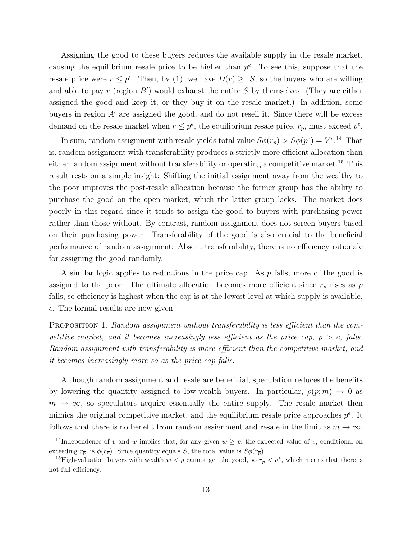Assigning the good to these buyers reduces the available supply in the resale market, causing the equilibrium resale price to be higher than  $p^e$ . To see this, suppose that the resale price were  $r \leq p^e$ . Then, by (1), we have  $D(r) \geq S$ , so the buyers who are willing and able to pay  $r$  (region  $B'$ ) would exhaust the entire  $S$  by themselves. (They are either assigned the good and keep it, or they buy it on the resale market.) In addition, some buyers in region  $A'$  are assigned the good, and do not resell it. Since there will be excess demand on the resale market when  $r \leq p^e$ , the equilibrium resale price,  $r_{\overline{p}}$ , must exceed  $p^e$ .

In sum, random assignment with resale yields total value  $S\phi(r_{\overline{p}}) > S\phi(p^e) = V^{e.14}$  That is, random assignment with transferability produces a strictly more efficient allocation than either random assignment without transferability or operating a competitive market.<sup>15</sup> This result rests on a simple insight: Shifting the initial assignment away from the wealthy to the poor improves the post-resale allocation because the former group has the ability to purchase the good on the open market, which the latter group lacks. The market does poorly in this regard since it tends to assign the good to buyers with purchasing power rather than those without. By contrast, random assignment does not screen buyers based on their purchasing power. Transferability of the good is also crucial to the beneficial performance of random assignment: Absent transferability, there is no efficiency rationale for assigning the good randomly.

A similar logic applies to reductions in the price cap. As  $\bar{p}$  falls, more of the good is assigned to the poor. The ultimate allocation becomes more efficient since  $r_{\bar{p}}$  rises as  $\bar{p}$ falls, so efficiency is highest when the cap is at the lowest level at which supply is available, c. The formal results are now given.

PROPOSITION 1. Random assignment without transferability is less efficient than the competitive market, and it becomes increasingly less efficient as the price cap,  $\bar{p} > c$ , falls. Random assignment with transferability is more efficient than the competitive market, and it becomes increasingly more so as the price cap falls.

Although random assignment and resale are beneficial, speculation reduces the benefits by lowering the quantity assigned to low-wealth buyers. In particular,  $\rho(\bar{p}; m) \to 0$  as  $m \to \infty$ , so speculators acquire essentially the entire supply. The resale market then mimics the original competitive market, and the equilibrium resale price approaches  $p^e$ . It follows that there is no benefit from random assignment and resale in the limit as  $m \to \infty$ .

<sup>&</sup>lt;sup>14</sup>Independence of v and w implies that, for any given  $w \geq \overline{p}$ , the expected value of v, conditional on exceeding  $r_{\overline{p}}$ , is  $\phi(r_{\overline{p}})$ . Since quantity equals S, the total value is  $S\phi(r_{\overline{p}})$ .

<sup>&</sup>lt;sup>15</sup>High-valuation buyers with wealth  $w < \bar{p}$  cannot get the good, so  $r_{\bar{p}} < v^*$ , which means that there is not full efficiency.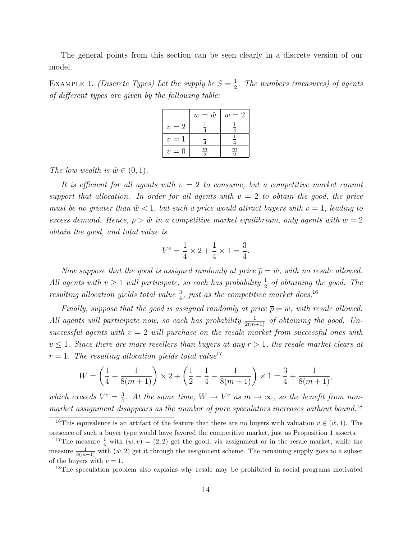The general points from this section can be seen clearly in a discrete version of our model.

EXAMPLE 1. *(Discrete Types)* Let the supply be  $S = \frac{1}{2}$  $\frac{1}{2}$ . The numbers (measures) of agents of different types are given by the following table:

|             | $w=\hat{w}$    | $w=2$               |
|-------------|----------------|---------------------|
| $v=2$       |                |                     |
| $v =$       |                |                     |
| $v =$<br>'' | $\overline{m}$ | $\mathfrak{m}$<br>Q |

The low wealth is  $\hat{w} \in (0, 1)$ .

It is efficient for all agents with  $v = 2$  to consume, but a competitive market cannot support that allocation. In order for all agents with  $v = 2$  to obtain the good, the price must be no greater than  $\hat{w} < 1$ , but such a price would attract buyers with  $v = 1$ , leading to excess demand. Hence,  $p > \hat{w}$  in a competitive market equilibrium, only agents with  $w = 2$ obtain the good, and total value is

$$
V^e = \frac{1}{4} \times 2 + \frac{1}{4} \times 1 = \frac{3}{4}.
$$

Now suppose that the good is assigned randomly at price  $\bar{p} = \hat{w}$ , with no resale allowed. All agents with  $v \ge 1$  will participate, so each has probability  $\frac{1}{2}$  of obtaining the good. The resulting allocation yields total value  $\frac{3}{4}$ , just as the competitive market does.<sup>16</sup>

Finally, suppose that the good is assigned randomly at price  $\bar{p} = \hat{w}$ , with resale allowed. All agents will participate now, so each has probability  $\frac{1}{2(m+1)}$  of obtaining the good. Unsuccessful agents with  $v = 2$  will purchase on the resale market from successful ones with  $v \leq 1$ . Since there are more resellers than buyers at any  $r > 1$ , the resale market clears at  $r = 1$ . The resulting allocation yields total value<sup>17</sup>

$$
W = \left(\frac{1}{4} + \frac{1}{8(m+1)}\right) \times 2 + \left(\frac{1}{2} - \frac{1}{4} - \frac{1}{8(m+1)}\right) \times 1 = \frac{3}{4} + \frac{1}{8(m+1)},
$$

which exceeds  $V^e = \frac{3}{4}$  $\frac{3}{4}$ . At the same time,  $W \to V^e$  as  $m \to \infty$ , so the benefit from nonmarket assignment disappears as the number of pure speculators increases without bound.<sup>18</sup>

<sup>18</sup>The speculation problem also explains why resale may be prohibited in social programs motivated

<sup>&</sup>lt;sup>16</sup>This equivalence is an artifact of the feature that there are no buyers with valuation  $v \in (\hat{w}, 1)$ . The presence of such a buyer type would have favored the competitive market, just as Proposition 1 asserts.

<sup>&</sup>lt;sup>17</sup>The measure  $\frac{1}{4}$  with  $(w, v) = (2, 2)$  get the good, via assignment or in the resale market, while the measure  $\frac{1}{8(m+1)}$  with  $(\hat{w}, 2)$  get it through the assignment scheme. The remaining supply goes to a subset of the buyers with  $v = 1$ .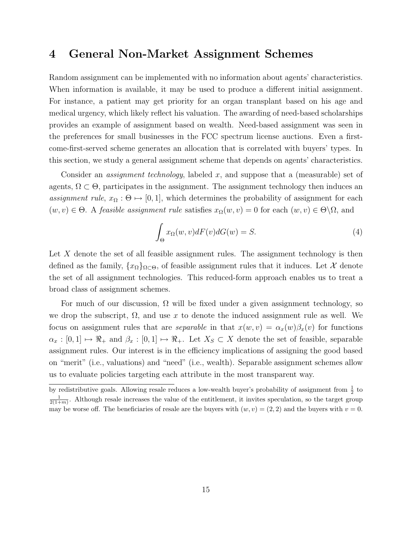## 4 General Non-Market Assignment Schemes

Random assignment can be implemented with no information about agents' characteristics. When information is available, it may be used to produce a different initial assignment. For instance, a patient may get priority for an organ transplant based on his age and medical urgency, which likely reflect his valuation. The awarding of need-based scholarships provides an example of assignment based on wealth. Need-based assignment was seen in the preferences for small businesses in the FCC spectrum license auctions. Even a firstcome-first-served scheme generates an allocation that is correlated with buyers' types. In this section, we study a general assignment scheme that depends on agents' characteristics.

Consider an *assignment technology*, labeled x, and suppose that a (measurable) set of agents,  $\Omega \subset \Theta$ , participates in the assignment. The assignment technology then induces an assignment rule,  $x_{\Omega} : \Theta \mapsto [0, 1]$ , which determines the probability of assignment for each  $(w, v) \in \Theta$ . A feasible assignment rule satisfies  $x_{\Omega}(w, v) = 0$  for each  $(w, v) \in \Theta \backslash \Omega$ , and

$$
\int_{\Theta} x_{\Omega}(w,v)dF(v)dG(w) = S.
$$
\n(4)

Let  $X$  denote the set of all feasible assignment rules. The assignment technology is then defined as the family,  $\{x_{\Omega}\}_{\Omega\subset\Theta}$ , of feasible assignment rules that it induces. Let X denote the set of all assignment technologies. This reduced-form approach enables us to treat a broad class of assignment schemes.

For much of our discussion,  $\Omega$  will be fixed under a given assignment technology, so we drop the subscript,  $\Omega$ , and use x to denote the induced assignment rule as well. We focus on assignment rules that are *separable* in that  $x(w, v) = \alpha_x(w)\beta_x(v)$  for functions  $\alpha_x : [0,1] \mapsto \Re_+$  and  $\beta_x : [0,1] \mapsto \Re_+$ . Let  $X_S \subset X$  denote the set of feasible, separable assignment rules. Our interest is in the efficiency implications of assigning the good based on "merit" (i.e., valuations) and "need" (i.e., wealth). Separable assignment schemes allow us to evaluate policies targeting each attribute in the most transparent way.

by redistributive goals. Allowing resale reduces a low-wealth buyer's probability of assignment from  $\frac{1}{2}$  to  $\frac{1}{2(1+m)}$ . Although resale increases the value of the entitlement, it invites speculation, so the target group may be worse off. The beneficiaries of resale are the buyers with  $(w, v) = (2, 2)$  and the buyers with  $v = 0$ .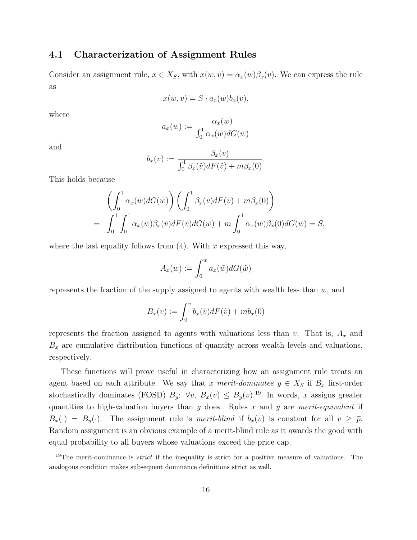### 4.1 Characterization of Assignment Rules

Consider an assignment rule,  $x \in X_S$ , with  $x(w, v) = \alpha_x(w)\beta_x(v)$ . We can express the rule as

$$
x(w, v) = S \cdot a_x(w) b_x(v),
$$

where

$$
a_x(w) := \frac{\alpha_x(w)}{\int_0^1 \alpha_x(\tilde{w}) dG(\tilde{w})}
$$

and

$$
b_x(v) := \frac{\beta_x(v)}{\int_0^1 \beta_x(\tilde{v}) dF(\tilde{v}) + m\beta_x(0)}.
$$

This holds because

$$
\left(\int_0^1 \alpha_x(\tilde{w}) dG(\tilde{w})\right) \left(\int_0^1 \beta_x(\tilde{v}) dF(\tilde{v}) + m\beta_x(0)\right)
$$
  
= 
$$
\int_0^1 \int_0^1 \alpha_x(\tilde{w}) \beta_x(\tilde{v}) dF(\tilde{v}) dG(\tilde{w}) + m \int_0^1 \alpha_x(\tilde{w}) \beta_x(0) dG(\tilde{w}) = S,
$$

where the last equality follows from  $(4)$ . With x expressed this way,

$$
A_x(w) := \int_0^w a_x(\tilde{w}) dG(\tilde{w})
$$

represents the fraction of the supply assigned to agents with wealth less than  $w$ , and

$$
B_x(v) := \int_0^v b_x(\tilde{v}) dF(\tilde{v}) + mb_x(0)
$$

represents the fraction assigned to agents with valuations less than v. That is,  $A_x$  and  $B_x$  are cumulative distribution functions of quantity across wealth levels and valuations, respectively.

These functions will prove useful in characterizing how an assignment rule treats an agent based on each attribute. We say that x merit-dominates  $y \in X_S$  if  $B_x$  first-order stochastically dominates (FOSD)  $B_y$ :  $\forall v, B_x(v) \leq B_y(v)$ .<sup>19</sup> In words, x assigns greater quantities to high-valuation buyers than  $y$  does. Rules  $x$  and  $y$  are merit-equivalent if  $B_x(\cdot) = B_y(\cdot)$ . The assignment rule is merit-blind if  $b_x(v)$  is constant for all  $v \geq \overline{p}$ . Random assignment is an obvious example of a merit-blind rule as it awards the good with equal probability to all buyers whose valuations exceed the price cap.

 $19$ The merit-dominance is *strict* if the inequality is strict for a positive measure of valuations. The analogous condition makes subsequent dominance definitions strict as well.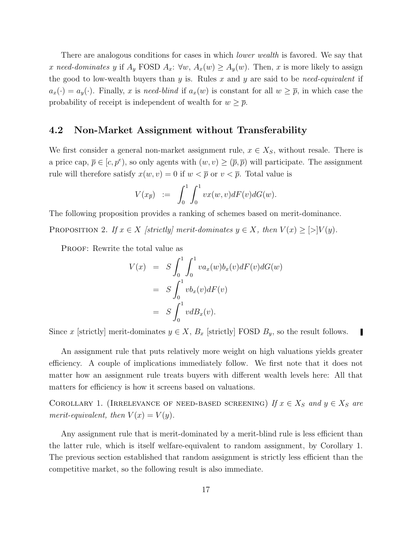There are analogous conditions for cases in which *lower wealth* is favored. We say that x need-dominates y if  $A_y$  FOSD  $A_x$ :  $\forall w$ ,  $A_x(w) \ge A_y(w)$ . Then, x is more likely to assign the good to low-wealth buyers than  $y$  is. Rules  $x$  and  $y$  are said to be need-equivalent if  $a_x(\cdot) = a_y(\cdot)$ . Finally, x is need-blind if  $a_x(w)$  is constant for all  $w \geq \overline{p}$ , in which case the probability of receipt is independent of wealth for  $w \geq \overline{p}$ .

#### 4.2 Non-Market Assignment without Transferability

We first consider a general non-market assignment rule,  $x \in X_S$ , without resale. There is a price cap,  $\bar{p} \in [c, p^e)$ , so only agents with  $(w, v) \geq (\bar{p}, \bar{p})$  will participate. The assignment rule will therefore satisfy  $x(w, v) = 0$  if  $w < \overline{p}$  or  $v < \overline{p}$ . Total value is

$$
V(x_{\overline{p}}) \quad := \quad \int_0^1 \int_0^1 vx(w,v)dF(v)dG(w).
$$

The following proposition provides a ranking of schemes based on merit-dominance.

PROPOSITION 2. If  $x \in X$  [strictly] merit-dominates  $y \in X$ , then  $V(x) \ge |y|/y$ .

PROOF: Rewrite the total value as

$$
V(x) = S \int_0^1 \int_0^1 va_x(w)b_x(v)dF(v)dG(w)
$$
  
= 
$$
S \int_0^1 v b_x(v)dF(v)
$$
  
= 
$$
S \int_0^1 v dB_x(v).
$$

Since x [strictly] merit-dominates  $y \in X$ ,  $B_x$  [strictly] FOSD  $B_y$ , so the result follows.

An assignment rule that puts relatively more weight on high valuations yields greater efficiency. A couple of implications immediately follow. We first note that it does not matter how an assignment rule treats buyers with different wealth levels here: All that matters for efficiency is how it screens based on valuations.

COROLLARY 1. (IRRELEVANCE OF NEED-BASED SCREENING) If  $x \in X_S$  and  $y \in X_S$  are merit-equivalent, then  $V(x) = V(y)$ .

Any assignment rule that is merit-dominated by a merit-blind rule is less efficient than the latter rule, which is itself welfare-equivalent to random assignment, by Corollary 1. The previous section established that random assignment is strictly less efficient than the competitive market, so the following result is also immediate.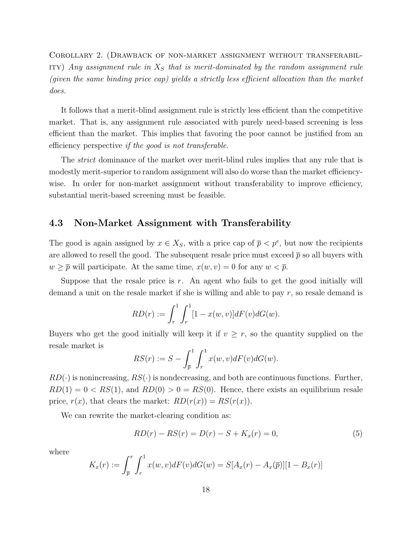Corollary 2. (Drawback of non-market assignment without transferabil-ITY) Any assignment rule in  $X<sub>S</sub>$  that is merit-dominated by the random assignment rule (given the same binding price cap) yields a strictly less efficient allocation than the market does.

It follows that a merit-blind assignment rule is strictly less efficient than the competitive market. That is, any assignment rule associated with purely need-based screening is less efficient than the market. This implies that favoring the poor cannot be justified from an efficiency perspective if the good is not transferable.

The *strict* dominance of the market over merit-blind rules implies that any rule that is modestly merit-superior to random assignment will also do worse than the market efficiencywise. In order for non-market assignment without transferability to improve efficiency, substantial merit-based screening must be feasible.

#### 4.3 Non-Market Assignment with Transferability

The good is again assigned by  $x \in X_S$ , with a price cap of  $\overline{p} < p^e$ , but now the recipients are allowed to resell the good. The subsequent resale price must exceed  $\bar{p}$  so all buyers with  $w \geq \overline{p}$  will participate. At the same time,  $x(w, v) = 0$  for any  $w < \overline{p}$ .

Suppose that the resale price is  $r$ . An agent who fails to get the good initially will demand a unit on the resale market if she is willing and able to pay r, so resale demand is

$$
RD(r) := \int_r^1 \int_r^1 [1 - x(w, v)] dF(v) dG(w).
$$

Buyers who get the good initially will keep it if  $v \geq r$ , so the quantity supplied on the resale market is

$$
RS(r) := S - \int_{\overline{p}}^{1} \int_{r}^{1} x(w, v) dF(v) dG(w).
$$

 $RD(\cdot)$  is nonincreasing,  $RS(\cdot)$  is nondecreasing, and both are continuous functions. Further,  $RD(1) = 0 < RS(1)$ , and  $RD(0) > 0 = RS(0)$ . Hence, there exists an equilibrium resale price,  $r(x)$ , that clears the market:  $RD(r(x)) = RS(r(x))$ .

We can rewrite the market-clearing condition as:

$$
RD(r) - RS(r) = D(r) - S + K_x(r) = 0,
$$
\n(5)

where

$$
K_x(r) := \int_{\overline{p}}^r \int_r^1 x(w, v) dF(v) dG(w) = S[A_x(r) - A_x(\overline{p})][1 - B_x(r)]
$$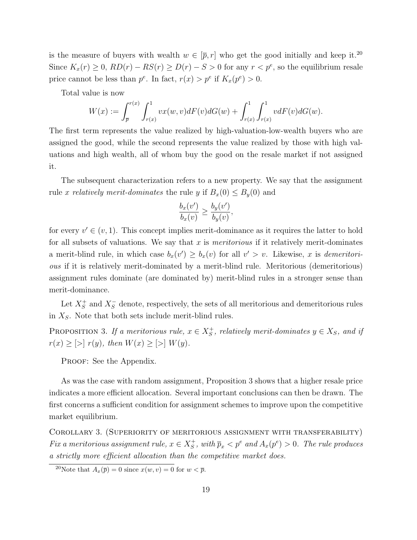is the measure of buyers with wealth  $w \in [\bar{p}, r]$  who get the good initially and keep it.<sup>20</sup> Since  $K_x(r) \ge 0$ ,  $RD(r) - RS(r) \ge D(r) - S > 0$  for any  $r < p^e$ , so the equilibrium resale price cannot be less than  $p^e$ . In fact,  $r(x) > p^e$  if  $K_x(p^e) > 0$ .

Total value is now

$$
W(x) := \int_{\overline{p}}^{r(x)} \int_{r(x)}^{1} vx(w,v) dF(v) dG(w) + \int_{r(x)}^{1} \int_{r(x)}^{1} v dF(v) dG(w).
$$

The first term represents the value realized by high-valuation-low-wealth buyers who are assigned the good, while the second represents the value realized by those with high valuations and high wealth, all of whom buy the good on the resale market if not assigned it.

The subsequent characterization refers to a new property. We say that the assignment rule x relatively merit-dominates the rule y if  $B_x(0) \le B_y(0)$  and

$$
\frac{b_x(v')}{b_x(v)} \ge \frac{b_y(v')}{b_y(v)},
$$

for every  $v' \in (v, 1)$ . This concept implies merit-dominance as it requires the latter to hold for all subsets of valuations. We say that x is *meritorious* if it relatively merit-dominates a merit-blind rule, in which case  $b_x(v') \geq b_x(v)$  for all  $v' > v$ . Likewise, x is *demeritori*ous if it is relatively merit-dominated by a merit-blind rule. Meritorious (demeritorious) assignment rules dominate (are dominated by) merit-blind rules in a stronger sense than merit-dominance.

Let  $X_S^+$  $S<sub>S</sub><sup>+</sup>$  and  $X<sub>S</sub><sup>-</sup>$  denote, respectively, the sets of all meritorious and demeritorious rules in  $X<sub>S</sub>$ . Note that both sets include merit-blind rules.

PROPOSITION 3. If a meritorious rule,  $x \in X_S^+$  $S<sub>S</sub>$ , relatively merit-dominates  $y \in X_S$ , and if  $r(x) \ge | > | r(y), \text{ then } W(x) \ge | > | W(y).$ 

PROOF: See the Appendix.

As was the case with random assignment, Proposition 3 shows that a higher resale price indicates a more efficient allocation. Several important conclusions can then be drawn. The first concerns a sufficient condition for assignment schemes to improve upon the competitive market equilibrium.

Corollary 3. (Superiority of meritorious assignment with transferability) Fix a meritorious assignment rule,  $x \in X_S^+$  $S^+$ , with  $\bar{p}_x < p^e$  and  $A_x(p^e) > 0$ . The rule produces a strictly more efficient allocation than the competitive market does.

<sup>&</sup>lt;sup>20</sup>Note that  $A_x(\overline{p}) = 0$  since  $x(w, v) = 0$  for  $w < \overline{p}$ .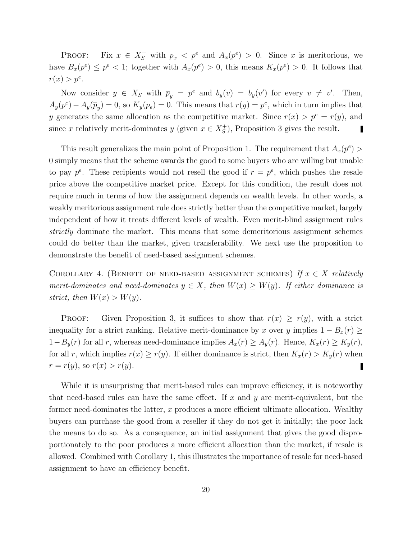PROOF: Fix  $x \in X_S^+$  with  $\bar{p}_x < p^e$  and  $A_x(p^e) > 0$ . Since x is meritorious, we have  $B_x(p^e) \leq p^e < 1$ ; together with  $A_x(p^e) > 0$ , this means  $K_x(p^e) > 0$ . It follows that  $r(x) > p^e$ .

Now consider  $y \in X_S$  with  $\bar{p}_y = p^e$  and  $b_y(v) = b_y(v')$  for every  $v \neq v'$ . Then,  $A_y(p^e) - A_y(\bar{p}_y) = 0$ , so  $K_y(p_e) = 0$ . This means that  $r(y) = p^e$ , which in turn implies that y generates the same allocation as the competitive market. Since  $r(x) > p^e = r(y)$ , and since x relatively merit-dominates y (given  $x \in X_S^+$  $\mathcal{L}_{S}^{+}$ ), Proposition 3 gives the result. 

This result generalizes the main point of Proposition 1. The requirement that  $A_x(p^e)$ 0 simply means that the scheme awards the good to some buyers who are willing but unable to pay  $p^e$ . These recipients would not resell the good if  $r = p^e$ , which pushes the resale price above the competitive market price. Except for this condition, the result does not require much in terms of how the assignment depends on wealth levels. In other words, a weakly meritorious assignment rule does strictly better than the competitive market, largely independent of how it treats different levels of wealth. Even merit-blind assignment rules strictly dominate the market. This means that some demeritorious assignment schemes could do better than the market, given transferability. We next use the proposition to demonstrate the benefit of need-based assignment schemes.

COROLLARY 4. (BENEFIT OF NEED-BASED ASSIGNMENT SCHEMES) If  $x \in X$  relatively merit-dominates and need-dominates  $y \in X$ , then  $W(x) \geq W(y)$ . If either dominance is strict, then  $W(x) > W(y)$ .

**PROOF:** Given Proposition 3, it suffices to show that  $r(x) \geq r(y)$ , with a strict inequality for a strict ranking. Relative merit-dominance by x over y implies  $1 - B_x(r) \ge$  $1-B_y(r)$  for all r, whereas need-dominance implies  $A_x(r) \ge A_y(r)$ . Hence,  $K_x(r) \ge K_y(r)$ , for all r, which implies  $r(x) \ge r(y)$ . If either dominance is strict, then  $K_x(r) > K_y(r)$  when  $r = r(y)$ , so  $r(x) > r(y)$ .

While it is unsurprising that merit-based rules can improve efficiency, it is noteworthy that need-based rules can have the same effect. If  $x$  and  $y$  are merit-equivalent, but the former need-dominates the latter,  $x$  produces a more efficient ultimate allocation. Wealthy buyers can purchase the good from a reseller if they do not get it initially; the poor lack the means to do so. As a consequence, an initial assignment that gives the good disproportionately to the poor produces a more efficient allocation than the market, if resale is allowed. Combined with Corollary 1, this illustrates the importance of resale for need-based assignment to have an efficiency benefit.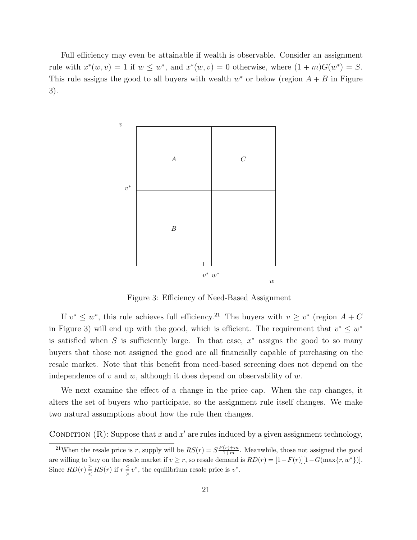Full efficiency may even be attainable if wealth is observable. Consider an assignment rule with  $x^*(w, v) = 1$  if  $w \leq w^*$ , and  $x^*(w, v) = 0$  otherwise, where  $(1 + m)G(w^*) = S$ . This rule assigns the good to all buyers with wealth  $w^*$  or below (region  $A + B$  in Figure 3).



Figure 3: Efficiency of Need-Based Assignment

If  $v^* \leq w^*$ , this rule achieves full efficiency.<sup>21</sup> The buyers with  $v \geq v^*$  (region  $A + C$ in Figure 3) will end up with the good, which is efficient. The requirement that  $v^* \leq w^*$ is satisfied when S is sufficiently large. In that case,  $x^*$  assigns the good to so many buyers that those not assigned the good are all financially capable of purchasing on the resale market. Note that this benefit from need-based screening does not depend on the independence of  $v$  and  $w$ , although it does depend on observability of  $w$ .

We next examine the effect of a change in the price cap. When the cap changes, it alters the set of buyers who participate, so the assignment rule itself changes. We make two natural assumptions about how the rule then changes.

CONDITION (R): Suppose that x and x' are rules induced by a given assignment technology,

<sup>&</sup>lt;sup>21</sup>When the resale price is r, supply will be  $RS(r) = S\frac{F(r)+m}{1+m}$ . Meanwhile, those not assigned the good are willing to buy on the resale market if  $v \ge r$ , so resale demand is  $RD(r) = [1 - F(r)][1 - G(\max\{r, w^*\})]$ . Since  $RD(r) \geq R S(r)$  if  $r \leq v^*$ , the equilibrium resale price is  $v^*$ .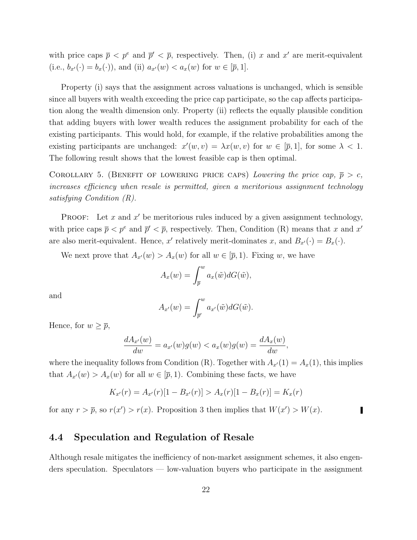with price caps  $\bar{p} < p^e$  and  $\bar{p}' < \bar{p}$ , respectively. Then, (i) x and x' are merit-equivalent (i.e.,  $b_{x'}(\cdot) = b_x(\cdot)$ ), and (ii)  $a_{x'}(w) < a_x(w)$  for  $w \in [\bar{p}, 1]$ .

Property (i) says that the assignment across valuations is unchanged, which is sensible since all buyers with wealth exceeding the price cap participate, so the cap affects participation along the wealth dimension only. Property (ii) reflects the equally plausible condition that adding buyers with lower wealth reduces the assignment probability for each of the existing participants. This would hold, for example, if the relative probabilities among the existing participants are unchanged:  $x'(w, v) = \lambda x(w, v)$  for  $w \in [\overline{p}, 1]$ , for some  $\lambda < 1$ . The following result shows that the lowest feasible cap is then optimal.

COROLLARY 5. (BENEFIT OF LOWERING PRICE CAPS) Lowering the price cap,  $\bar{p} > c$ , increases efficiency when resale is permitted, given a meritorious assignment technology satisfying Condition (R).

**PROOF:** Let  $x$  and  $x'$  be meritorious rules induced by a given assignment technology, with price caps  $\bar{p} < p^e$  and  $\bar{p}' < \bar{p}$ , respectively. Then, Condition (R) means that x and x' are also merit-equivalent. Hence, x' relatively merit-dominates x, and  $B_{x'}(\cdot) = B_x(\cdot)$ .

We next prove that  $A_{x'}(w) > A_x(w)$  for all  $w \in [\overline{p}, 1)$ . Fixing w, we have

$$
A_x(w) = \int_{\overline{p}}^w a_x(\tilde{w}) dG(\tilde{w}),
$$

and

$$
A_{x'}(w) = \int_{\overline{p}'}^{w} a_{x'}(\tilde{w}) dG(\tilde{w}).
$$

Hence, for  $w \geq \overline{p}$ ,

$$
\frac{dA_{x'}(w)}{dw} = a_{x'}(w)g(w) < a_x(w)g(w) = \frac{dA_x(w)}{dw},
$$

where the inequality follows from Condition (R). Together with  $A_{x'}(1) = A_x(1)$ , this implies that  $A_{x'}(w) > A_x(w)$  for all  $w \in [\overline{p}, 1)$ . Combining these facts, we have

$$
K_{x'}(r) = A_{x'}(r)[1 - B_{x'}(r)] > A_x(r)[1 - B_x(r)] = K_x(r)
$$

for any  $r > \overline{p}$ , so  $r(x') > r(x)$ . Proposition 3 then implies that  $W(x') > W(x)$ .

### 4.4 Speculation and Regulation of Resale

Although resale mitigates the inefficiency of non-market assignment schemes, it also engenders speculation. Speculators — low-valuation buyers who participate in the assignment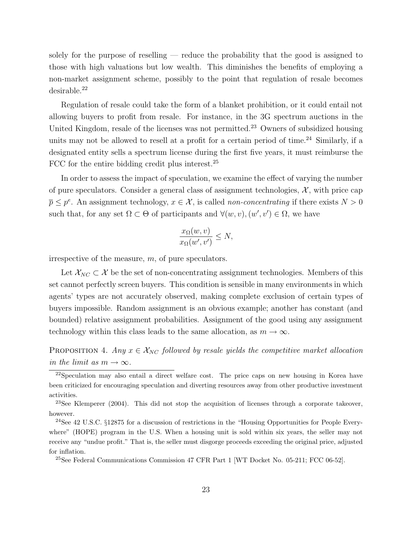solely for the purpose of reselling — reduce the probability that the good is assigned to those with high valuations but low wealth. This diminishes the benefits of employing a non-market assignment scheme, possibly to the point that regulation of resale becomes desirable.<sup>22</sup>

Regulation of resale could take the form of a blanket prohibition, or it could entail not allowing buyers to profit from resale. For instance, in the 3G spectrum auctions in the United Kingdom, resale of the licenses was not permitted.<sup>23</sup> Owners of subsidized housing units may not be allowed to resell at a profit for a certain period of time.<sup>24</sup> Similarly, if a designated entity sells a spectrum license during the first five years, it must reimburse the FCC for the entire bidding credit plus interest.<sup>25</sup>

In order to assess the impact of speculation, we examine the effect of varying the number of pure speculators. Consider a general class of assignment technologies,  $\mathcal{X}$ , with price cap  $\overline{p} \leq p^e$ . An assignment technology,  $x \in \mathcal{X}$ , is called *non-concentrating* if there exists  $N > 0$ such that, for any set  $\Omega \subset \Theta$  of participants and  $\forall (w, v), (w', v') \in \Omega$ , we have

$$
\frac{x_{\Omega}(w, v)}{x_{\Omega}(w', v')} \le N,
$$

irrespective of the measure, m, of pure speculators.

Let  $\mathcal{X}_{NC} \subset \mathcal{X}$  be the set of non-concentrating assignment technologies. Members of this set cannot perfectly screen buyers. This condition is sensible in many environments in which agents' types are not accurately observed, making complete exclusion of certain types of buyers impossible. Random assignment is an obvious example; another has constant (and bounded) relative assignment probabilities. Assignment of the good using any assignment technology within this class leads to the same allocation, as  $m \to \infty$ .

PROPOSITION 4. Any  $x \in \mathcal{X}_{NC}$  followed by resale yields the competitive market allocation in the limit as  $m \to \infty$ .

 $22$ Speculation may also entail a direct welfare cost. The price caps on new housing in Korea have been criticized for encouraging speculation and diverting resources away from other productive investment activities.

 $^{23}$ See Klemperer (2004). This did not stop the acquisition of licenses through a corporate takeover, however.

<sup>24</sup>See 42 U.S.C. §12875 for a discussion of restrictions in the "Housing Opportunities for People Everywhere" (HOPE) program in the U.S. When a housing unit is sold within six years, the seller may not receive any "undue profit." That is, the seller must disgorge proceeds exceeding the original price, adjusted for inflation.

<sup>25</sup>See Federal Communications Commission 47 CFR Part 1 [WT Docket No. 05-211; FCC 06-52].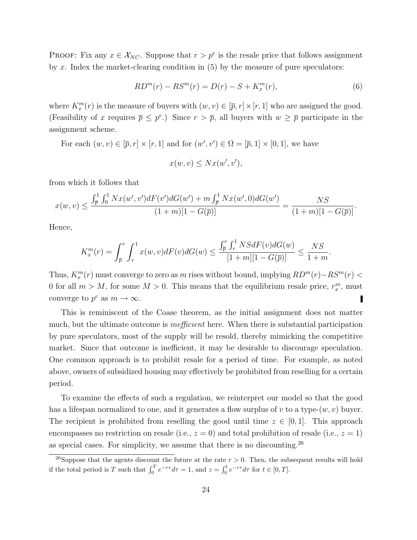PROOF: Fix any  $x \in \mathcal{X}_{NC}$ . Suppose that  $r > p^e$  is the resale price that follows assignment by x. Index the market-clearing condition in  $(5)$  by the measure of pure speculators:

$$
RDm(r) - RSm(r) = D(r) - S + Kxm(r),
$$
\n(6)

where  $K_x^m(r)$  is the measure of buyers with  $(w, v) \in [\overline{p}, r] \times [r, 1]$  who are assigned the good. (Feasibility of x requires  $\bar{p} \leq p^e$ .) Since  $r > \bar{p}$ , all buyers with  $w \geq \bar{p}$  participate in the assignment scheme.

For each  $(w, v) \in [\overline{p}, r] \times [r, 1]$  and for  $(w', v') \in \Omega = [\overline{p}, 1] \times [0, 1]$ , we have

$$
x(w, v) \le Nx(w', v'),
$$

from which it follows that

$$
x(w,v) \le \frac{\int_{\overline{p}}^1 \int_0^1 Nx(w',v')dF(v')dG(w') + m\int_{\overline{p}}^1 Nx(w',0)dG(w')}{(1+m)[1-G(\overline{p})]} = \frac{NS}{(1+m)[1-G(\overline{p})]}.
$$

Hence,

$$
K_x^m(r) = \int_{\overline{p}}^r \int_r^1 x(w, v) dF(v) dG(w) \le \frac{\int_{\overline{p}}^r \int_r^1 NSdF(v) dG(w)}{[1+m][1-G(\overline{p})]} \le \frac{NS}{1+m}.
$$

Thus,  $K_x^m(r)$  must converge to zero as m rises without bound, implying  $RD^m(r) - RS^m(r)$ 0 for all  $m > M$ , for some  $M > 0$ . This means that the equilibrium resale price,  $r_x^m$ , must converge to  $p^e$  as  $m \to \infty$ .

This is reminiscent of the Coase theorem, as the initial assignment does not matter much, but the ultimate outcome is *inefficient* here. When there is substantial participation by pure speculators, most of the supply will be resold, thereby mimicking the competitive market. Since that outcome is inefficient, it may be desirable to discourage speculation. One common approach is to prohibit resale for a period of time. For example, as noted above, owners of subsidized housing may effectively be prohibited from reselling for a certain period.

To examine the effects of such a regulation, we reinterpret our model so that the good has a lifespan normalized to one, and it generates a flow surplus of v to a type- $(w, v)$  buyer. The recipient is prohibited from reselling the good until time  $z \in [0,1]$ . This approach encompasses no restriction on resale (i.e.,  $z = 0$ ) and total prohibition of resale (i.e.,  $z = 1$ ) as special cases. For simplicity, we assume that there is no discounting.<sup>26</sup>

<sup>&</sup>lt;sup>26</sup>Suppose that the agents discount the future at the rate  $r > 0$ . Then, the subsequent results will hold if the total period is T such that  $\int_0^T e^{-r\tau} d\tau = 1$ , and  $z = \int_0^t e^{-r\tau} d\tau$  for  $t \in [0, T]$ .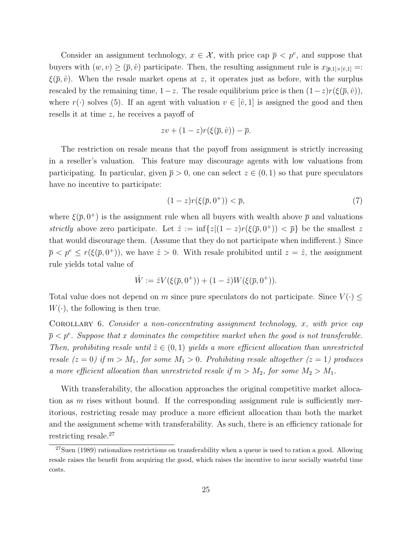Consider an assignment technology,  $x \in \mathcal{X}$ , with price cap  $\overline{p} \leq p^e$ , and suppose that buyers with  $(w, v) \geq (\bar{p}, \hat{v})$  participate. Then, the resulting assignment rule is  $x_{[\bar{p},1]\times[\hat{v},1]}$  =:  $\xi(\bar{p}, \hat{v})$ . When the resale market opens at z, it operates just as before, with the surplus rescaled by the remaining time,  $1-z$ . The resale equilibrium price is then  $(1-z)r(\xi(\bar{p}, \hat{v}))$ , where  $r(\cdot)$  solves (5). If an agent with valuation  $v \in [\hat{v}, 1]$  is assigned the good and then resells it at time z, he receives a payoff of

$$
zv + (1-z)r(\xi(\overline{p}, \hat{v})) - \overline{p}.
$$

The restriction on resale means that the payoff from assignment is strictly increasing in a reseller's valuation. This feature may discourage agents with low valuations from participating. In particular, given  $\bar{p} > 0$ , one can select  $z \in (0, 1)$  so that pure speculators have no incentive to participate:

$$
(1-z)r(\xi(\overline{p},0^+)) < \overline{p},\tag{7}
$$

where  $\xi(\bar{p}, 0^+)$  is the assignment rule when all buyers with wealth above  $\bar{p}$  and valuations strictly above zero participate. Let  $\hat{z} := \inf\{z | (1-z)r(\xi(\bar{p}, 0^+)) \leq \bar{p}\}\$  be the smallest z that would discourage them. (Assume that they do not participate when indifferent.) Since  $\bar{p} < p^e \le r(\xi(\bar{p}, 0^+))$ , we have  $\hat{z} > 0$ . With resale prohibited until  $z = \hat{z}$ , the assignment rule yields total value of

$$
\hat{W} := \hat{z}V(\xi(\overline{p}, 0^+)) + (1 - \hat{z})W(\xi(\overline{p}, 0^+)).
$$

Total value does not depend on m since pure speculators do not participate. Since  $V(\cdot) \leq$  $W(\cdot)$ , the following is then true.

COROLLARY 6. Consider a non-concentrating assignment technology,  $x$ , with price cap  $\overline{p} < p^e$ . Suppose that x dominates the competitive market when the good is not transferable. Then, prohibiting resale until  $\hat{z} \in (0,1)$  yields a more efficient allocation than unrestricted resale  $(z = 0)$  if  $m > M_1$ , for some  $M_1 > 0$ . Prohibiting resale altogether  $(z = 1)$  produces a more efficient allocation than unrestricted resale if  $m > M_2$ , for some  $M_2 > M_1$ .

With transferability, the allocation approaches the original competitive market allocation as  $m$  rises without bound. If the corresponding assignment rule is sufficiently meritorious, restricting resale may produce a more efficient allocation than both the market and the assignment scheme with transferability. As such, there is an efficiency rationale for restricting resale.<sup>27</sup>

 $27$ Suen (1989) rationalizes restrictions on transferability when a queue is used to ration a good. Allowing resale raises the benefit from acquiring the good, which raises the incentive to incur socially wasteful time costs.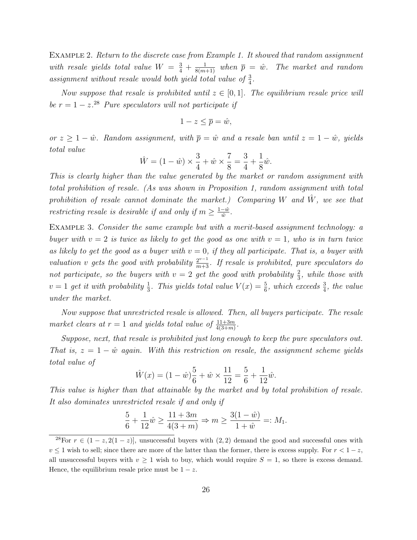EXAMPLE 2. Return to the discrete case from Example 1. It showed that random assignment with resale yields total value  $W = \frac{3}{4} + \frac{1}{8(m+1)}$  when  $\bar{p} = \hat{w}$ . The market and random assignment without resale would both yield total value of  $\frac{3}{4}$ .

Now suppose that resale is prohibited until  $z \in [0,1]$ . The equilibrium resale price will be  $r = 1 - z^{28}$  Pure speculators will not participate if

$$
1 - z \le \overline{p} = \hat{w},
$$

or  $z \geq 1 - \hat{w}$ . Random assignment, with  $\bar{p} = \hat{w}$  and a resale ban until  $z = 1 - \hat{w}$ , yields total value

$$
\hat{W} = (1 - \hat{w}) \times \frac{3}{4} + \hat{w} \times \frac{7}{8} = \frac{3}{4} + \frac{1}{8}\hat{w}.
$$

This is clearly higher than the value generated by the market or random assignment with total prohibition of resale. (As was shown in Proposition 1, random assignment with total prohibition of resale cannot dominate the market.) Comparing W and  $\hat{W}$ , we see that restricting resale is desirable if and only if  $m \geq \frac{1-\hat{w}}{\hat{w}}$  $\frac{-w}{\hat{w}}$ .

Example 3. Consider the same example but with a merit-based assignment technology: a buyer with  $v = 2$  is twice as likely to get the good as one with  $v = 1$ , who is in turn twice as likely to get the good as a buyer with  $v = 0$ , if they all participate. That is, a buyer with valuation v gets the good with probability  $\frac{2^{v-1}}{m+3}$ . If resale is prohibited, pure speculators do not participate, so the buyers with  $v = 2$  get the good with probability  $\frac{2}{3}$ , while those with  $v = 1$  get it with probability  $\frac{1}{3}$ . This yields total value  $V(x) = \frac{5}{6}$ , which exceeds  $\frac{3}{4}$ , the value under the market.

Now suppose that unrestricted resale is allowed. Then, all buyers participate. The resale market clears at  $r = 1$  and yields total value of  $\frac{11+3m}{4(3+m)}$ .

Suppose, next, that resale is prohibited just long enough to keep the pure speculators out. That is,  $z = 1 - \hat{w}$  again. With this restriction on resale, the assignment scheme yields total value of

$$
\hat{W}(x) = (1 - \hat{w})\frac{5}{6} + \hat{w} \times \frac{11}{12} = \frac{5}{6} + \frac{1}{12}\hat{w}.
$$

This value is higher than that attainable by the market and by total prohibition of resale. It also dominates unrestricted resale if and only if

$$
\frac{5}{6} + \frac{1}{12}\hat{w} \ge \frac{11 + 3m}{4(3+m)} \Rightarrow m \ge \frac{3(1-\hat{w})}{1+\hat{w}} =: M_1.
$$

<sup>&</sup>lt;sup>28</sup>For  $r \in (1-z, 2(1-z))$ , unsuccessful buyers with  $(2, 2)$  demand the good and successful ones with  $v \leq 1$  wish to sell; since there are more of the latter than the former, there is excess supply. For  $r < 1-z$ , all unsuccessful buyers with  $v \geq 1$  wish to buy, which would require  $S = 1$ , so there is excess demand. Hence, the equilibrium resale price must be  $1 - z$ .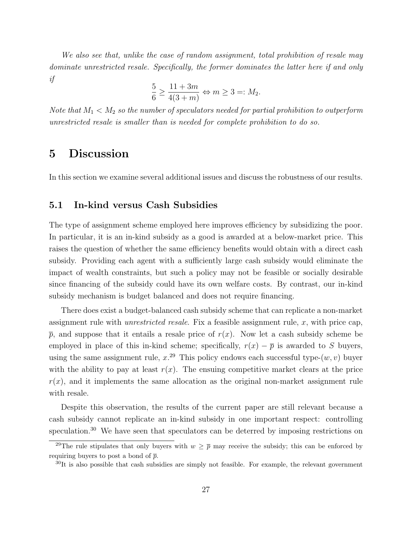We also see that, unlike the case of random assignment, total prohibition of resale may dominate unrestricted resale. Specifically, the former dominates the latter here if and only if

$$
\frac{5}{6} \ge \frac{11+3m}{4(3+m)} \Leftrightarrow m \ge 3 =: M_2.
$$

Note that  $M_1 < M_2$  so the number of speculators needed for partial prohibition to outperform unrestricted resale is smaller than is needed for complete prohibition to do so.

## 5 Discussion

In this section we examine several additional issues and discuss the robustness of our results.

#### 5.1 In-kind versus Cash Subsidies

The type of assignment scheme employed here improves efficiency by subsidizing the poor. In particular, it is an in-kind subsidy as a good is awarded at a below-market price. This raises the question of whether the same efficiency benefits would obtain with a direct cash subsidy. Providing each agent with a sufficiently large cash subsidy would eliminate the impact of wealth constraints, but such a policy may not be feasible or socially desirable since financing of the subsidy could have its own welfare costs. By contrast, our in-kind subsidy mechanism is budget balanced and does not require financing.

There does exist a budget-balanced cash subsidy scheme that can replicate a non-market assignment rule with *unrestricted resale*. Fix a feasible assignment rule,  $x$ , with price cap,  $\bar{p}$ , and suppose that it entails a resale price of  $r(x)$ . Now let a cash subsidy scheme be employed in place of this in-kind scheme; specifically,  $r(x) - \bar{p}$  is awarded to S buyers, using the same assignment rule,  $x^{29}$  This policy endows each successful type- $(w, v)$  buyer with the ability to pay at least  $r(x)$ . The ensuing competitive market clears at the price  $r(x)$ , and it implements the same allocation as the original non-market assignment rule with resale.

Despite this observation, the results of the current paper are still relevant because a cash subsidy cannot replicate an in-kind subsidy in one important respect: controlling speculation.<sup>30</sup> We have seen that speculators can be deterred by imposing restrictions on

<sup>&</sup>lt;sup>29</sup>The rule stipulates that only buyers with  $w \geq \overline{p}$  may receive the subsidy; this can be enforced by requiring buyers to post a bond of  $\bar{p}$ .

 $30$ It is also possible that cash subsidies are simply not feasible. For example, the relevant government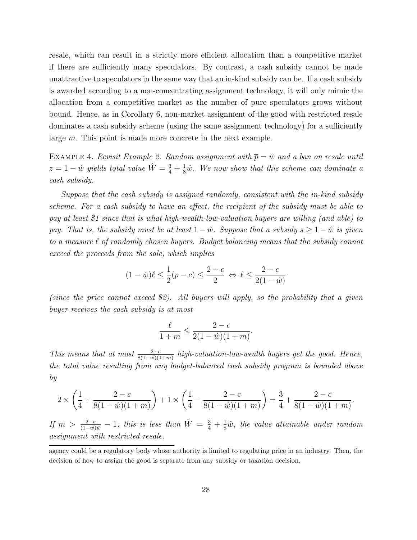resale, which can result in a strictly more efficient allocation than a competitive market if there are sufficiently many speculators. By contrast, a cash subsidy cannot be made unattractive to speculators in the same way that an in-kind subsidy can be. If a cash subsidy is awarded according to a non-concentrating assignment technology, it will only mimic the allocation from a competitive market as the number of pure speculators grows without bound. Hence, as in Corollary 6, non-market assignment of the good with restricted resale dominates a cash subsidy scheme (using the same assignment technology) for a sufficiently large m. This point is made more concrete in the next example.

EXAMPLE 4. Revisit Example 2. Random assignment with  $\overline{p} = \hat{w}$  and a ban on resale until  $z = 1 - \hat{w}$  yields total value  $\hat{W} = \frac{3}{4} + \frac{1}{8}\hat{w}$ . We now show that this scheme can dominate a cash subsidy.

Suppose that the cash subsidy is assigned randomly, consistent with the in-kind subsidy scheme. For a cash subsidy to have an effect, the recipient of the subsidy must be able to pay at least \$1 since that is what high-wealth-low-valuation buyers are willing (and able) to pay. That is, the subsidy must be at least  $1 - \hat{w}$ . Suppose that a subsidy  $s \geq 1 - \hat{w}$  is given to a measure  $\ell$  of randomly chosen buyers. Budget balancing means that the subsidy cannot exceed the proceeds from the sale, which implies

$$
(1 - \hat{w})\ell \le \frac{1}{2}(p - c) \le \frac{2 - c}{2} \iff \ell \le \frac{2 - c}{2(1 - \hat{w})}
$$

(since the price cannot exceed \$2). All buyers will apply, so the probability that a given buyer receives the cash subsidy is at most

$$
\frac{\ell}{1+m} \le \frac{2-c}{2(1-\hat{w})(1+m)}.
$$

This means that at most  $\frac{2-c}{8(1-\hat{w})(1+m)}$  high-valuation-low-wealth buyers get the good. Hence, the total value resulting from any budget-balanced cash subsidy program is bounded above by

$$
2 \times \left(\frac{1}{4} + \frac{2-c}{8(1-\hat{w})(1+m)}\right) + 1 \times \left(\frac{1}{4} - \frac{2-c}{8(1-\hat{w})(1+m)}\right) = \frac{3}{4} + \frac{2-c}{8(1-\hat{w})(1+m)}.
$$

If  $m > \frac{2-c}{(1-\hat{w})\hat{w}} - 1$ , this is less than  $\hat{W} = \frac{3}{4} + \frac{1}{8}\hat{w}$ , the value attainable under random assignment with restricted resale.

agency could be a regulatory body whose authority is limited to regulating price in an industry. Then, the decision of how to assign the good is separate from any subsidy or taxation decision.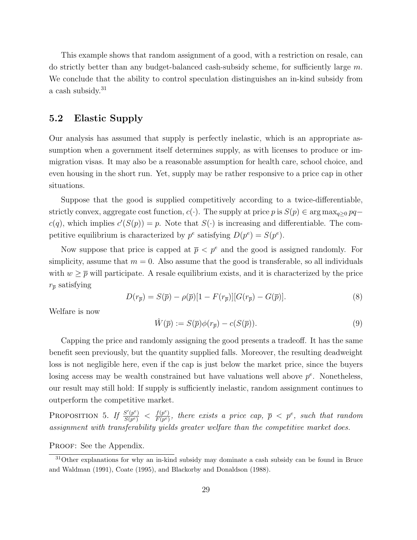This example shows that random assignment of a good, with a restriction on resale, can do strictly better than any budget-balanced cash-subsidy scheme, for sufficiently large m. We conclude that the ability to control speculation distinguishes an in-kind subsidy from a cash subsidy.<sup>31</sup>

### 5.2 Elastic Supply

Our analysis has assumed that supply is perfectly inelastic, which is an appropriate assumption when a government itself determines supply, as with licenses to produce or immigration visas. It may also be a reasonable assumption for health care, school choice, and even housing in the short run. Yet, supply may be rather responsive to a price cap in other situations.

Suppose that the good is supplied competitively according to a twice-differentiable, strictly convex, aggregate cost function,  $c(\cdot)$ . The supply at price p is  $S(p) \in \arg \max_{a>0} pq$  $c(q)$ , which implies  $c'(S(p)) = p$ . Note that  $S(\cdot)$  is increasing and differentiable. The competitive equilibrium is characterized by  $p^e$  satisfying  $D(p^e) = S(p^e)$ .

Now suppose that price is capped at  $\bar{p} < p^e$  and the good is assigned randomly. For simplicity, assume that  $m = 0$ . Also assume that the good is transferable, so all individuals with  $w \geq \overline{p}$  will participate. A resale equilibrium exists, and it is characterized by the price  $r_{\overline{p}}$  satisfying

$$
D(r_{\overline{p}}) = S(\overline{p}) - \rho(\overline{p})[1 - F(r_{\overline{p}})][G(r_{\overline{p}}) - G(\overline{p})]. \tag{8}
$$

Welfare is now

$$
\hat{W}(\overline{p}) := S(\overline{p})\phi(r_{\overline{p}}) - c(S(\overline{p})).\tag{9}
$$

Capping the price and randomly assigning the good presents a tradeoff. It has the same benefit seen previously, but the quantity supplied falls. Moreover, the resulting deadweight loss is not negligible here, even if the cap is just below the market price, since the buyers losing access may be wealth constrained but have valuations well above  $p^e$ . Nonetheless, our result may still hold: If supply is sufficiently inelastic, random assignment continues to outperform the competitive market.

PROPOSITION 5. If  $\frac{S'(p^e)}{S(p^e)}$  $\frac{S'(p^e)}{S(p^e)}$  <  $\frac{f(p^e)}{F(p^e)}$  $\frac{f(p^e)}{F(p^e)},$  there exists a price cap,  $\overline{p} < p^e$ , such that random assignment with transferability yields greater welfare than the competitive market does.

#### PROOF: See the Appendix.

<sup>&</sup>lt;sup>31</sup>Other explanations for why an in-kind subsidy may dominate a cash subsidy can be found in Bruce and Waldman (1991), Coate (1995), and Blackorby and Donaldson (1988).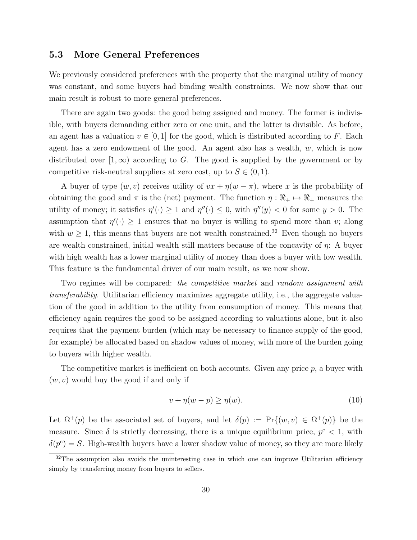#### 5.3 More General Preferences

We previously considered preferences with the property that the marginal utility of money was constant, and some buyers had binding wealth constraints. We now show that our main result is robust to more general preferences.

There are again two goods: the good being assigned and money. The former is indivisible, with buyers demanding either zero or one unit, and the latter is divisible. As before, an agent has a valuation  $v \in [0, 1]$  for the good, which is distributed according to F. Each agent has a zero endowment of the good. An agent also has a wealth,  $w$ , which is now distributed over  $(1,\infty)$  according to G. The good is supplied by the government or by competitive risk-neutral suppliers at zero cost, up to  $S \in (0, 1)$ .

A buyer of type  $(w, v)$  receives utility of  $vx + \eta(w - \pi)$ , where x is the probability of obtaining the good and  $\pi$  is the (net) payment. The function  $\eta : \Re_+ \mapsto \Re_+$  measures the utility of money; it satisfies  $\eta'(\cdot) \geq 1$  and  $\eta''(\cdot) \leq 0$ , with  $\eta''(y) < 0$  for some  $y > 0$ . The assumption that  $\eta'(\cdot) \geq 1$  ensures that no buyer is willing to spend more than v; along with  $w \ge 1$ , this means that buyers are not wealth constrained.<sup>32</sup> Even though no buyers are wealth constrained, initial wealth still matters because of the concavity of η: A buyer with high wealth has a lower marginal utility of money than does a buyer with low wealth. This feature is the fundamental driver of our main result, as we now show.

Two regimes will be compared: the competitive market and random assignment with transferability. Utilitarian efficiency maximizes aggregate utility, i.e., the aggregate valuation of the good in addition to the utility from consumption of money. This means that efficiency again requires the good to be assigned according to valuations alone, but it also requires that the payment burden (which may be necessary to finance supply of the good, for example) be allocated based on shadow values of money, with more of the burden going to buyers with higher wealth.

The competitive market is inefficient on both accounts. Given any price  $p$ , a buyer with  $(w, v)$  would buy the good if and only if

$$
v + \eta(w - p) \ge \eta(w). \tag{10}
$$

Let  $\Omega^+(p)$  be the associated set of buyers, and let  $\delta(p) := \Pr\{(w, v) \in \Omega^+(p)\}\)$  be the measure. Since  $\delta$  is strictly decreasing, there is a unique equilibrium price,  $p^e < 1$ , with  $\delta(p^e) = S$ . High-wealth buyers have a lower shadow value of money, so they are more likely

<sup>&</sup>lt;sup>32</sup>The assumption also avoids the uninteresting case in which one can improve Utilitarian efficiency simply by transferring money from buyers to sellers.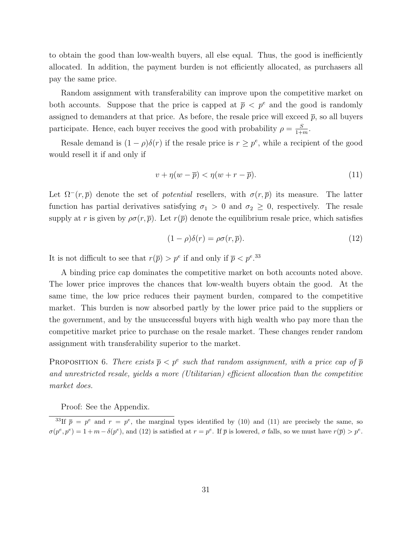to obtain the good than low-wealth buyers, all else equal. Thus, the good is inefficiently allocated. In addition, the payment burden is not efficiently allocated, as purchasers all pay the same price.

Random assignment with transferability can improve upon the competitive market on both accounts. Suppose that the price is capped at  $\bar{p} < p^e$  and the good is randomly assigned to demanders at that price. As before, the resale price will exceed  $\bar{p}$ , so all buyers participate. Hence, each buyer receives the good with probability  $\rho = \frac{S}{1+\rho}$  $\frac{S}{1+m}$ .

Resale demand is  $(1 - \rho)\delta(r)$  if the resale price is  $r \geq p^e$ , while a recipient of the good would resell it if and only if

$$
v + \eta(w - \overline{p}) < \eta(w + r - \overline{p}).\tag{11}
$$

Let  $\Omega^-(r,\bar{p})$  denote the set of *potential* resellers, with  $\sigma(r,\bar{p})$  its measure. The latter function has partial derivatives satisfying  $\sigma_1 > 0$  and  $\sigma_2 \geq 0$ , respectively. The resale supply at r is given by  $\rho\sigma(r,\bar{p})$ . Let  $r(\bar{p})$  denote the equilibrium resale price, which satisfies

$$
(1 - \rho)\delta(r) = \rho\sigma(r, \overline{p}).\tag{12}
$$

It is not difficult to see that  $r(\bar{p}) > p^e$  if and only if  $\bar{p} < p^e$ .<sup>33</sup>

A binding price cap dominates the competitive market on both accounts noted above. The lower price improves the chances that low-wealth buyers obtain the good. At the same time, the low price reduces their payment burden, compared to the competitive market. This burden is now absorbed partly by the lower price paid to the suppliers or the government, and by the unsuccessful buyers with high wealth who pay more than the competitive market price to purchase on the resale market. These changes render random assignment with transferability superior to the market.

PROPOSITION 6. There exists  $\bar{p} < p^e$  such that random assignment, with a price cap of  $\bar{p}$ and unrestricted resale, yields a more (Utilitarian) efficient allocation than the competitive market does.

Proof: See the Appendix.

<sup>&</sup>lt;sup>33</sup>If  $\bar{p} = p^e$  and  $r = p^e$ , the marginal types identified by (10) and (11) are precisely the same, so  $\sigma(p^e, p^e) = 1 + m - \delta(p^e)$ , and (12) is satisfied at  $r = p^e$ . If  $\bar{p}$  is lowered,  $\sigma$  falls, so we must have  $r(\bar{p}) > p^e$ .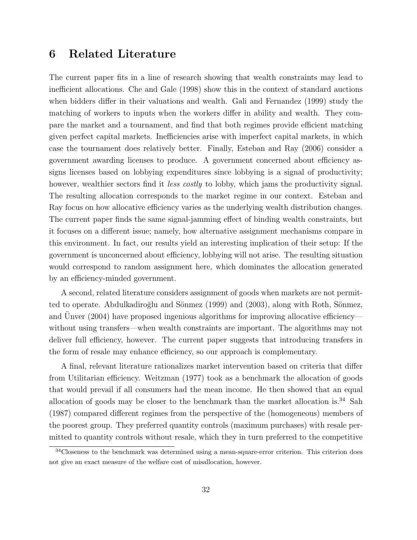## 6 Related Literature

The current paper fits in a line of research showing that wealth constraints may lead to inefficient allocations. Che and Gale (1998) show this in the context of standard auctions when bidders differ in their valuations and wealth. Gali and Fernandez (1999) study the matching of workers to inputs when the workers differ in ability and wealth. They compare the market and a tournament, and find that both regimes provide efficient matching given perfect capital markets. Inefficiencies arise with imperfect capital markets, in which case the tournament does relatively better. Finally, Esteban and Ray (2006) consider a government awarding licenses to produce. A government concerned about efficiency assigns licenses based on lobbying expenditures since lobbying is a signal of productivity; however, wealthier sectors find it *less costly* to lobby, which jams the productivity signal. The resulting allocation corresponds to the market regime in our context. Esteban and Ray focus on how allocative efficiency varies as the underlying wealth distribution changes. The current paper finds the same signal-jamming effect of binding wealth constraints, but it focuses on a different issue; namely, how alternative assignment mechanisms compare in this environment. In fact, our results yield an interesting implication of their setup: If the government is unconcerned about efficiency, lobbying will not arise. The resulting situation would correspond to random assignment here, which dominates the allocation generated by an efficiency-minded government.

A second, related literature considers assignment of goods when markets are not permitted to operate. Abdulkadiroğlu and Sönmez (1999) and (2003), along with Roth, Sönmez, and Unver (2004) have proposed ingenious algorithms for improving allocative efficiency without using transfers—when wealth constraints are important. The algorithms may not deliver full efficiency, however. The current paper suggests that introducing transfers in the form of resale may enhance efficiency, so our approach is complementary.

A final, relevant literature rationalizes market intervention based on criteria that differ from Utilitarian efficiency. Weitzman (1977) took as a benchmark the allocation of goods that would prevail if all consumers had the mean income. He then showed that an equal allocation of goods may be closer to the benchmark than the market allocation is.<sup>34</sup> Sah (1987) compared different regimes from the perspective of the (homogeneous) members of the poorest group. They preferred quantity controls (maximum purchases) with resale permitted to quantity controls without resale, which they in turn preferred to the competitive

 $34$ Closeness to the benchmark was determined using a mean-square-error criterion. This criterion does not give an exact measure of the welfare cost of misallocation, however.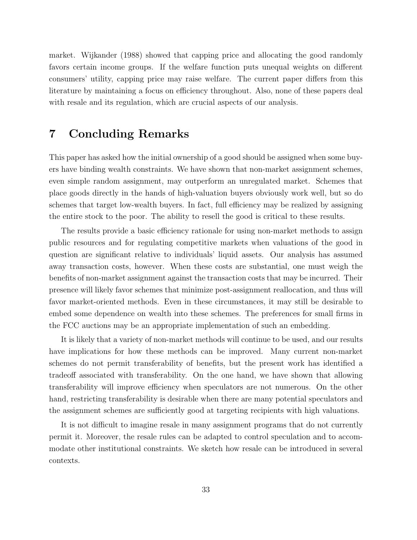market. Wijkander (1988) showed that capping price and allocating the good randomly favors certain income groups. If the welfare function puts unequal weights on different consumers' utility, capping price may raise welfare. The current paper differs from this literature by maintaining a focus on efficiency throughout. Also, none of these papers deal with resale and its regulation, which are crucial aspects of our analysis.

## 7 Concluding Remarks

This paper has asked how the initial ownership of a good should be assigned when some buyers have binding wealth constraints. We have shown that non-market assignment schemes, even simple random assignment, may outperform an unregulated market. Schemes that place goods directly in the hands of high-valuation buyers obviously work well, but so do schemes that target low-wealth buyers. In fact, full efficiency may be realized by assigning the entire stock to the poor. The ability to resell the good is critical to these results.

The results provide a basic efficiency rationale for using non-market methods to assign public resources and for regulating competitive markets when valuations of the good in question are significant relative to individuals' liquid assets. Our analysis has assumed away transaction costs, however. When these costs are substantial, one must weigh the benefits of non-market assignment against the transaction costs that may be incurred. Their presence will likely favor schemes that minimize post-assignment reallocation, and thus will favor market-oriented methods. Even in these circumstances, it may still be desirable to embed some dependence on wealth into these schemes. The preferences for small firms in the FCC auctions may be an appropriate implementation of such an embedding.

It is likely that a variety of non-market methods will continue to be used, and our results have implications for how these methods can be improved. Many current non-market schemes do not permit transferability of benefits, but the present work has identified a tradeoff associated with transferability. On the one hand, we have shown that allowing transferability will improve efficiency when speculators are not numerous. On the other hand, restricting transferability is desirable when there are many potential speculators and the assignment schemes are sufficiently good at targeting recipients with high valuations.

It is not difficult to imagine resale in many assignment programs that do not currently permit it. Moreover, the resale rules can be adapted to control speculation and to accommodate other institutional constraints. We sketch how resale can be introduced in several contexts.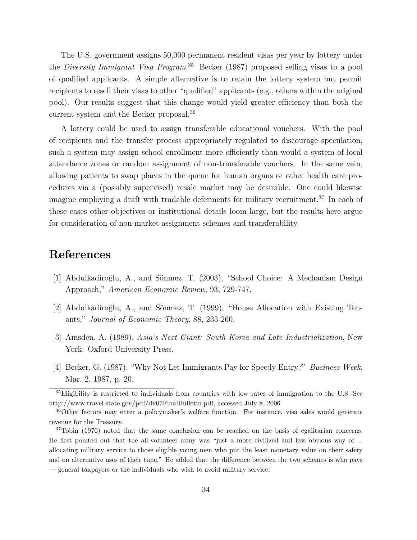The U.S. government assigns 50,000 permanent resident visas per year by lottery under the *Diversity Immigrant Visa Program*.<sup>35</sup> Becker (1987) proposed selling visas to a pool of qualified applicants. A simple alternative is to retain the lottery system but permit recipients to resell their visas to other "qualified" applicants (e.g., others within the original pool). Our results suggest that this change would yield greater efficiency than both the current system and the Becker proposal.<sup>36</sup>

A lottery could be used to assign transferable educational vouchers. With the pool of recipients and the transfer process appropriately regulated to discourage speculation, such a system may assign school enrollment more efficiently than would a system of local attendance zones or random assignment of non-transferable vouchers. In the same vein, allowing patients to swap places in the queue for human organs or other health care procedures via a (possibly supervised) resale market may be desirable. One could likewise imagine employing a draft with tradable deferments for military recruitment.<sup>37</sup> In each of these cases other objectives or institutional details loom large, but the results here argue for consideration of non-market assignment schemes and transferability.

## References

- [1] Abdulkadiroğlu, A., and Sönmez, T. (2003), "School Choice: A Mechanism Design Approach," American Economic Review, 93, 729-747.
- [2] Abdulkadiroğlu, A., and Sönmez, T. (1999), "House Allocation with Existing Tenants," Journal of Economic Theory, 88, 233-260.
- [3] Amsden, A. (1989), Asia's Next Giant: South Korea and Late Industrialization, New York: Oxford University Press.
- [4] Becker, G. (1987), "Why Not Let Immigrants Pay for Speedy Entry?" Business Week, Mar. 2, 1987, p. 20.

<sup>35</sup>Eligibility is restricted to individuals from countries with low rates of immigration to the U.S. See http://www.travel.state.gov/pdf/dv07FinalBulletin.pdf, accessed July 8, 2006.

<sup>36</sup>Other factors may enter a policymaker's welfare function. For instance, visa sales would generate revenue for the Treasury.

<sup>&</sup>lt;sup>37</sup>Tobin (1970) noted that the same conclusion can be reached on the basis of egalitarian concerns. He first pointed out that the all-volunteer army was "just a more civilized and less obvious way of ... allocating military service to those eligible young men who put the least monetary value on their safety and on alternative uses of their time." He added that the difference between the two schemes is who pays — general taxpayers or the individuals who wish to avoid military service.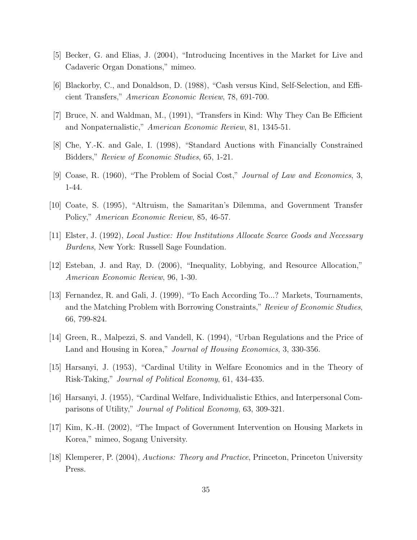- [5] Becker, G. and Elias, J. (2004), "Introducing Incentives in the Market for Live and Cadaveric Organ Donations," mimeo.
- [6] Blackorby, C., and Donaldson, D. (1988), "Cash versus Kind, Self-Selection, and Efficient Transfers," American Economic Review, 78, 691-700.
- [7] Bruce, N. and Waldman, M., (1991), "Transfers in Kind: Why They Can Be Efficient and Nonpaternalistic," American Economic Review, 81, 1345-51.
- [8] Che, Y.-K. and Gale, I. (1998), "Standard Auctions with Financially Constrained Bidders," Review of Economic Studies, 65, 1-21.
- [9] Coase, R. (1960), "The Problem of Social Cost," Journal of Law and Economics, 3, 1-44.
- [10] Coate, S. (1995), "Altruism, the Samaritan's Dilemma, and Government Transfer Policy," American Economic Review, 85, 46-57.
- [11] Elster, J. (1992), Local Justice: How Institutions Allocate Scarce Goods and Necessary Burdens, New York: Russell Sage Foundation.
- [12] Esteban, J. and Ray, D. (2006), "Inequality, Lobbying, and Resource Allocation," American Economic Review, 96, 1-30.
- [13] Fernandez, R. and Gali, J. (1999), "To Each According To...? Markets, Tournaments, and the Matching Problem with Borrowing Constraints," Review of Economic Studies, 66, 799-824.
- [14] Green, R., Malpezzi, S. and Vandell, K. (1994), "Urban Regulations and the Price of Land and Housing in Korea," *Journal of Housing Economics*, 3, 330-356.
- [15] Harsanyi, J. (1953), "Cardinal Utility in Welfare Economics and in the Theory of Risk-Taking," Journal of Political Economy, 61, 434-435.
- [16] Harsanyi, J. (1955), "Cardinal Welfare, Individualistic Ethics, and Interpersonal Comparisons of Utility," Journal of Political Economy, 63, 309-321.
- [17] Kim, K.-H. (2002), "The Impact of Government Intervention on Housing Markets in Korea," mimeo, Sogang University.
- [18] Klemperer, P. (2004), Auctions: Theory and Practice, Princeton, Princeton University Press.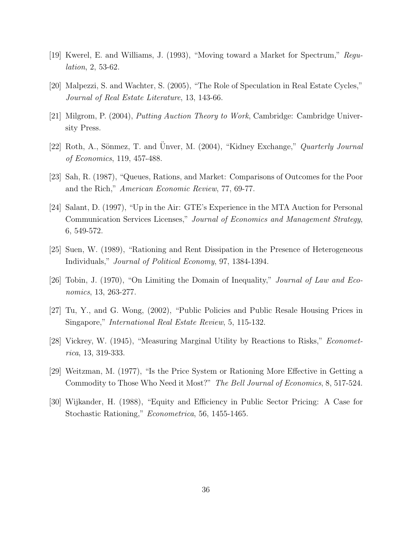- [19] Kwerel, E. and Williams, J. (1993), "Moving toward a Market for Spectrum," Regulation, 2, 53-62.
- [20] Malpezzi, S. and Wachter, S. (2005), "The Role of Speculation in Real Estate Cycles," Journal of Real Estate Literature, 13, 143-66.
- [21] Milgrom, P. (2004), Putting Auction Theory to Work, Cambridge: Cambridge University Press.
- [22] Roth, A., Sönmez, T. and Unver, M. (2004), "Kidney Exchange," Quarterly Journal of Economics, 119, 457-488.
- [23] Sah, R. (1987), "Queues, Rations, and Market: Comparisons of Outcomes for the Poor and the Rich," American Economic Review, 77, 69-77.
- [24] Salant, D. (1997), "Up in the Air: GTE's Experience in the MTA Auction for Personal Communication Services Licenses," Journal of Economics and Management Strategy, 6, 549-572.
- [25] Suen, W. (1989), "Rationing and Rent Dissipation in the Presence of Heterogeneous Individuals," Journal of Political Economy, 97, 1384-1394.
- [26] Tobin, J. (1970), "On Limiting the Domain of Inequality," Journal of Law and Economics, 13, 263-277.
- [27] Tu, Y., and G. Wong, (2002), "Public Policies and Public Resale Housing Prices in Singapore," International Real Estate Review, 5, 115-132.
- [28] Vickrey, W. (1945), "Measuring Marginal Utility by Reactions to Risks," Econometrica, 13, 319-333.
- [29] Weitzman, M. (1977), "Is the Price System or Rationing More Effective in Getting a Commodity to Those Who Need it Most?" The Bell Journal of Economics, 8, 517-524.
- [30] Wijkander, H. (1988), "Equity and Efficiency in Public Sector Pricing: A Case for Stochastic Rationing," Econometrica, 56, 1455-1465.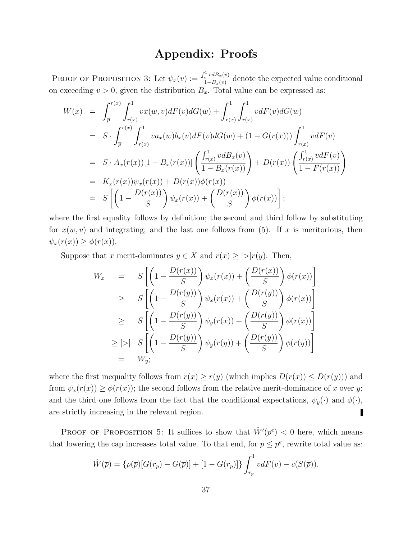## Appendix: Proofs

PROOF OF PROPOSITION 3: Let  $\psi_x(v) := \frac{\int_v^1 \tilde{v} dB_x(\tilde{v})}{1 - B_x(v)}$  $\frac{v^{v \cdot u(x,v)}}{1-B_x(v)}$  denote the expected value conditional on exceeding  $v > 0$ , given the distribution  $B_x$ . Total value can be expressed as:

$$
W(x) = \int_{\overline{p}}^{r(x)} \int_{r(x)}^{1} vx(w, v) dF(v) dG(w) + \int_{r(x)}^{1} \int_{r(x)}^{1} v dF(v) dG(w)
$$
  
\n
$$
= S \cdot \int_{\overline{p}}^{r(x)} \int_{r(x)}^{1} va_x(w) b_x(v) dF(v) dG(w) + (1 - G(r(x))) \int_{r(x)}^{1} v dF(v)
$$
  
\n
$$
= S \cdot A_x(r(x))[1 - B_x(r(x))] \left( \frac{\int_{r(x)}^{1} v dB_x(v)}{1 - B_x(r(x))} \right) + D(r(x)) \left( \frac{\int_{r(x)}^{1} v dF(v)}{1 - F(r(x))} \right)
$$
  
\n
$$
= K_x(r(x)) \psi_x(r(x)) + D(r(x)) \phi(r(x))
$$
  
\n
$$
= S \left[ \left( 1 - \frac{D(r(x))}{S} \right) \psi_x(r(x)) + \left( \frac{D(r(x))}{S} \right) \phi(r(x)) \right];
$$

where the first equality follows by definition; the second and third follow by substituting for  $x(w, v)$  and integrating; and the last one follows from (5). If x is meritorious, then  $\psi_x(r(x)) \geq \phi(r(x)).$ 

Suppose that x merit-dominates  $y \in X$  and  $r(x) \ge |y|$ . Then,

$$
W_x = S\left[\left(1 - \frac{D(r(x))}{S}\right)\psi_x(r(x)) + \left(\frac{D(r(x))}{S}\right)\phi(r(x))\right]
$$
  
\n
$$
\geq S\left[\left(1 - \frac{D(r(y))}{S}\right)\psi_x(r(x)) + \left(\frac{D(r(y))}{S}\right)\phi(r(x))\right]
$$
  
\n
$$
\geq S\left[\left(1 - \frac{D(r(y))}{S}\right)\psi_y(r(x)) + \left(\frac{D(r(y))}{S}\right)\phi(r(x))\right]
$$
  
\n
$$
\geq [>] S\left[\left(1 - \frac{D(r(y))}{S}\right)\psi_y(r(y)) + \left(\frac{D(r(y))}{S}\right)\phi(r(y))\right]
$$
  
\n
$$
= W_y;
$$

where the first inequality follows from  $r(x) \ge r(y)$  (which implies  $D(r(x)) \le D(r(y))$ ) and from  $\psi_x(r(x)) \ge \phi(r(x))$ ; the second follows from the relative merit-dominance of x over y; and the third one follows from the fact that the conditional expectations,  $\psi_y(\cdot)$  and  $\phi(\cdot)$ , are strictly increasing in the relevant region. ı

PROOF OF PROPOSITION 5: It suffices to show that  $\hat{W}'(p^e) < 0$  here, which means that lowering the cap increases total value. To that end, for  $\bar{p} \leq p^e$ , rewrite total value as:

$$
\hat{W}(\overline{p}) = \left\{ \rho(\overline{p}) [G(r_{\overline{p}}) - G(\overline{p})] + [1 - G(r_{\overline{p}})] \right\} \int_{r_{\overline{p}}}^{1} v dF(v) - c(S(\overline{p})).
$$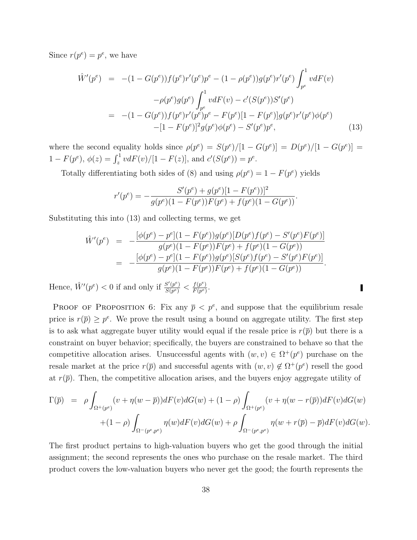Since  $r(p^e) = p^e$ , we have

$$
\hat{W}'(p^e) = -(1 - G(p^e))f(p^e)r'(p^e)p^e - (1 - \rho(p^e))g(p^e)r'(p^e)\int_{p^e}^1 v dF(v) \n- \rho(p^e)g(p^e)\int_{p^e}^1 v dF(v) - c'(S(p^e))S'(p^e) \n= -(1 - G(p^e))f(p^e)r'(p^e)p^e - F(p^e)[1 - F(p^e)]g(p^e)r'(p^e)\phi(p^e) \n- [1 - F(p^e)]^2g(p^e)\phi(p^e) - S'(p^e)p^e,
$$
\n(13)

where the second equality holds since  $\rho(p^e) = S(p^e)/[1 - G(p^e)] = D(p^e)/[1 - G(p^e)] =$  $1 - F(p^e)$ ,  $\phi(z) = \int_z^1 v dF(v) / [1 - F(z)]$ , and  $c'(S(p^e)) = p^e$ .

Totally differentiating both sides of (8) and using  $\rho(p^e) = 1 - F(p^e)$  yields

$$
r'(p^e) = -\frac{S'(p^e) + g(p^e)[1 - F(p^e))]^2}{g(p^e)(1 - F(p^e))F(p^e) + f(p^e)(1 - G(p^e))}.
$$

Substituting this into (13) and collecting terms, we get

$$
\hat{W}'(p^e) = -\frac{[\phi(p^e) - p^e](1 - F(p^e))g(p^e)[D(p^e)f(p^e) - S'(p^e)F(p^e)]}{g(p^e)(1 - F(p^e))F(p^e) + f(p^e)(1 - G(p^e))}
$$
\n
$$
= -\frac{[\phi(p^e) - p^e](1 - F(p^e))g(p^e)[S(p^e)f(p^e) - S'(p^e)F(p^e)]}{g(p^e)(1 - F(p^e))F(p^e) + f(p^e)(1 - G(p^e))}.
$$

П

Hence,  $\hat{W}'(p^e) < 0$  if and only if  $\frac{S'(p^e)}{S(p^e)}$  $\frac{S'(p^e)}{S(p^e)} < \frac{f(p^e)}{F(p^e)}$  $\frac{J(p^c)}{F(p^e)}$ .

PROOF OF PROPOSITION 6: Fix any  $\bar{p} < p^e$ , and suppose that the equilibrium resale price is  $r(\bar{p}) \geq p^e$ . We prove the result using a bound on aggregate utility. The first step is to ask what aggregate buyer utility would equal if the resale price is  $r(\bar{p})$  but there is a constraint on buyer behavior; specifically, the buyers are constrained to behave so that the competitive allocation arises. Unsuccessful agents with  $(w, v) \in \Omega^+(p^e)$  purchase on the resale market at the price  $r(\bar{p})$  and successful agents with  $(w, v) \notin \Omega^+(p^e)$  resell the good at  $r(\bar{p})$ . Then, the competitive allocation arises, and the buyers enjoy aggregate utility of

$$
\Gamma(\overline{p}) = \rho \int_{\Omega^+(p^e)} (v + \eta(w - \overline{p})) dF(v) dG(w) + (1 - \rho) \int_{\Omega^+(p^e)} (v + \eta(w - r(\overline{p})) dF(v) dG(w) \n+ (1 - \rho) \int_{\Omega^-(p^e, p^e)} \eta(w) dF(v) dG(w) + \rho \int_{\Omega^-(p^e, p^e)} \eta(w + r(\overline{p}) - \overline{p}) dF(v) dG(w).
$$

The first product pertains to high-valuation buyers who get the good through the initial assignment; the second represents the ones who purchase on the resale market. The third product covers the low-valuation buyers who never get the good; the fourth represents the